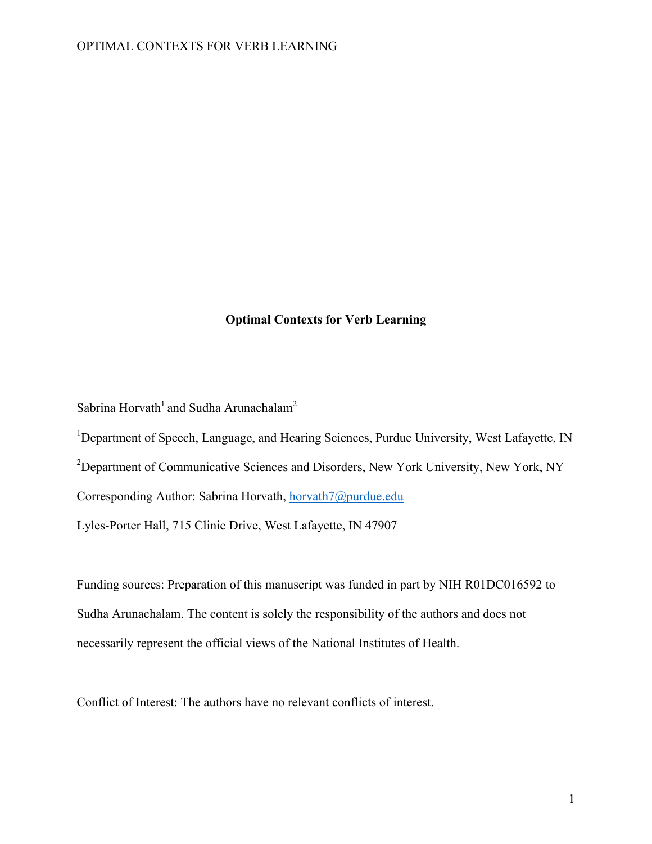# **Optimal Contexts for Verb Learning**

Sabrina Horvath<sup>1</sup> and Sudha Arunachalam<sup>2</sup>

<sup>1</sup>Department of Speech, Language, and Hearing Sciences, Purdue University, West Lafayette, IN

<sup>2</sup>Department of Communicative Sciences and Disorders, New York University, New York, NY

Corresponding Author: Sabrina Horvath, horvath7@purdue.edu

Lyles-Porter Hall, 715 Clinic Drive, West Lafayette, IN 47907

Funding sources: Preparation of this manuscript was funded in part by NIH R01DC016592 to Sudha Arunachalam. The content is solely the responsibility of the authors and does not necessarily represent the official views of the National Institutes of Health.

Conflict of Interest: The authors have no relevant conflicts of interest.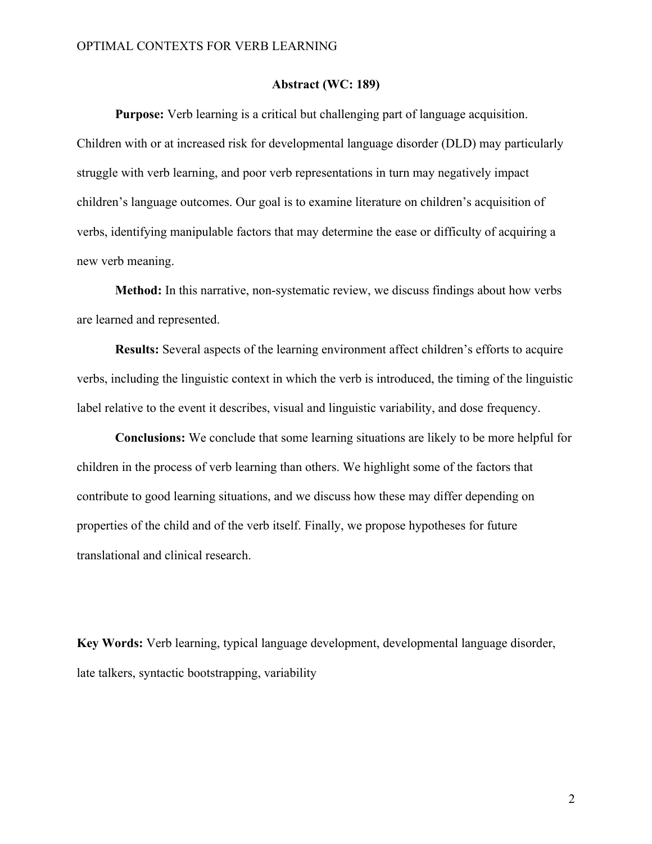#### **Abstract (WC: 189)**

**Purpose:** Verb learning is a critical but challenging part of language acquisition. Children with or at increased risk for developmental language disorder (DLD) may particularly struggle with verb learning, and poor verb representations in turn may negatively impact children's language outcomes. Our goal is to examine literature on children's acquisition of verbs, identifying manipulable factors that may determine the ease or difficulty of acquiring a new verb meaning.

**Method:** In this narrative, non-systematic review, we discuss findings about how verbs are learned and represented.

**Results:** Several aspects of the learning environment affect children's efforts to acquire verbs, including the linguistic context in which the verb is introduced, the timing of the linguistic label relative to the event it describes, visual and linguistic variability, and dose frequency.

**Conclusions:** We conclude that some learning situations are likely to be more helpful for children in the process of verb learning than others. We highlight some of the factors that contribute to good learning situations, and we discuss how these may differ depending on properties of the child and of the verb itself. Finally, we propose hypotheses for future translational and clinical research.

**Key Words:** Verb learning, typical language development, developmental language disorder, late talkers, syntactic bootstrapping, variability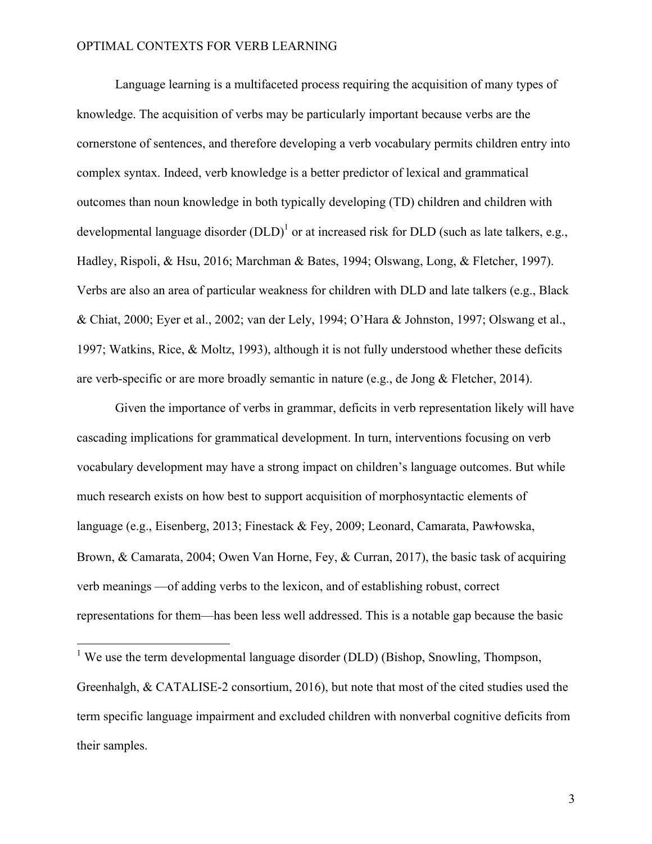Language learning is a multifaceted process requiring the acquisition of many types of knowledge. The acquisition of verbs may be particularly important because verbs are the cornerstone of sentences, and therefore developing a verb vocabulary permits children entry into complex syntax. Indeed, verb knowledge is a better predictor of lexical and grammatical outcomes than noun knowledge in both typically developing (TD) children and children with developmental language disorder  $(DLD)^1$  or at increased risk for DLD (such as late talkers, e.g., Hadley, Rispoli, & Hsu, 2016; Marchman & Bates, 1994; Olswang, Long, & Fletcher, 1997). Verbs are also an area of particular weakness for children with DLD and late talkers (e.g., Black & Chiat, 2000; Eyer et al., 2002; van der Lely, 1994; O'Hara & Johnston, 1997; Olswang et al., 1997; Watkins, Rice, & Moltz, 1993), although it is not fully understood whether these deficits are verb-specific or are more broadly semantic in nature (e.g., de Jong & Fletcher, 2014).

Given the importance of verbs in grammar, deficits in verb representation likely will have cascading implications for grammatical development. In turn, interventions focusing on verb vocabulary development may have a strong impact on children's language outcomes. But while much research exists on how best to support acquisition of morphosyntactic elements of language (e.g., Eisenberg, 2013; Finestack & Fey, 2009; Leonard, Camarata, Pawɫowska, Brown, & Camarata, 2004; Owen Van Horne, Fey, & Curran, 2017), the basic task of acquiring verb meanings —of adding verbs to the lexicon, and of establishing robust, correct representations for them—has been less well addressed. This is a notable gap because the basic

 $<sup>1</sup>$  We use the term developmental language disorder (DLD) (Bishop, Snowling, Thompson,</sup> Greenhalgh, & CATALISE-2 consortium, 2016), but note that most of the cited studies used the term specific language impairment and excluded children with nonverbal cognitive deficits from their samples.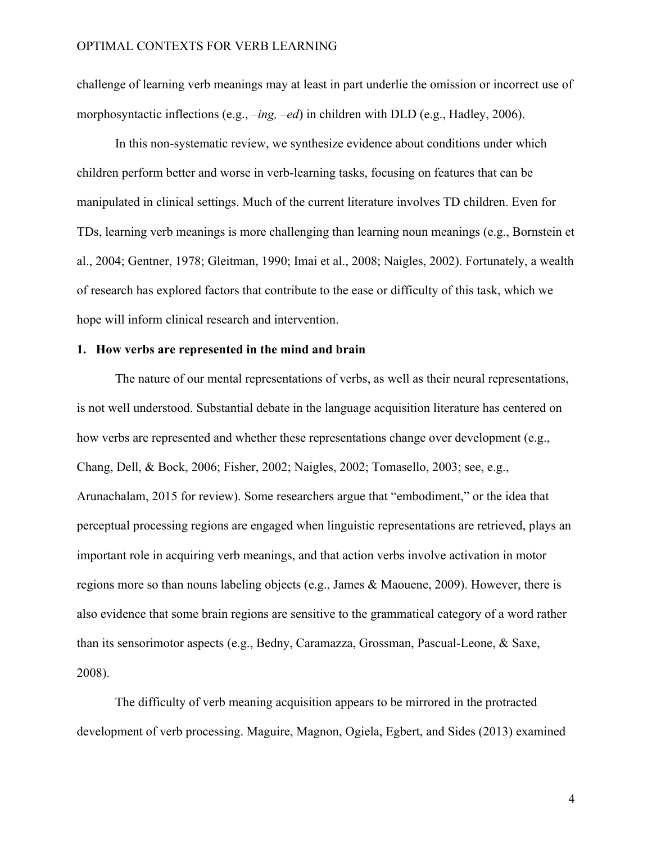challenge of learning verb meanings may at least in part underlie the omission or incorrect use of morphosyntactic inflections (e.g., *–ing, –ed*) in children with DLD (e.g., Hadley, 2006).

In this non-systematic review, we synthesize evidence about conditions under which children perform better and worse in verb-learning tasks, focusing on features that can be manipulated in clinical settings. Much of the current literature involves TD children. Even for TDs, learning verb meanings is more challenging than learning noun meanings (e.g., Bornstein et al., 2004; Gentner, 1978; Gleitman, 1990; Imai et al., 2008; Naigles, 2002). Fortunately, a wealth of research has explored factors that contribute to the ease or difficulty of this task, which we hope will inform clinical research and intervention.

# **1. How verbs are represented in the mind and brain**

The nature of our mental representations of verbs, as well as their neural representations, is not well understood. Substantial debate in the language acquisition literature has centered on how verbs are represented and whether these representations change over development (e.g., Chang, Dell, & Bock, 2006; Fisher, 2002; Naigles, 2002; Tomasello, 2003; see, e.g., Arunachalam, 2015 for review). Some researchers argue that "embodiment," or the idea that perceptual processing regions are engaged when linguistic representations are retrieved, plays an important role in acquiring verb meanings, and that action verbs involve activation in motor regions more so than nouns labeling objects (e.g., James & Maouene, 2009). However, there is also evidence that some brain regions are sensitive to the grammatical category of a word rather than its sensorimotor aspects (e.g., Bedny, Caramazza, Grossman, Pascual-Leone, & Saxe, 2008).

The difficulty of verb meaning acquisition appears to be mirrored in the protracted development of verb processing. Maguire, Magnon, Ogiela, Egbert, and Sides (2013) examined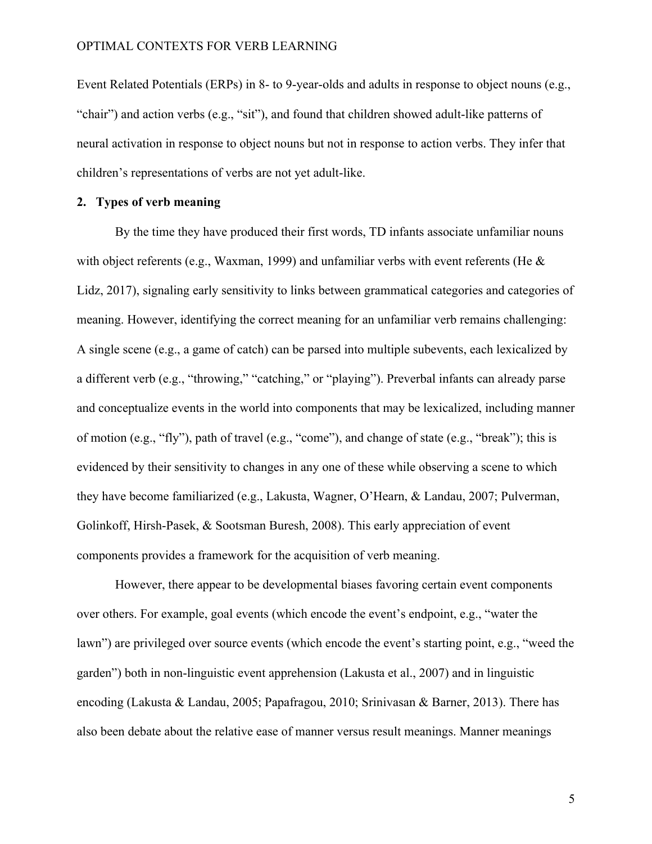Event Related Potentials (ERPs) in 8- to 9-year-olds and adults in response to object nouns (e.g., "chair") and action verbs (e.g., "sit"), and found that children showed adult-like patterns of neural activation in response to object nouns but not in response to action verbs. They infer that children's representations of verbs are not yet adult-like.

# **2. Types of verb meaning**

By the time they have produced their first words, TD infants associate unfamiliar nouns with object referents (e.g., Waxman, 1999) and unfamiliar verbs with event referents (He & Lidz, 2017), signaling early sensitivity to links between grammatical categories and categories of meaning. However, identifying the correct meaning for an unfamiliar verb remains challenging: A single scene (e.g., a game of catch) can be parsed into multiple subevents, each lexicalized by a different verb (e.g., "throwing," "catching," or "playing"). Preverbal infants can already parse and conceptualize events in the world into components that may be lexicalized, including manner of motion (e.g., "fly"), path of travel (e.g., "come"), and change of state (e.g., "break"); this is evidenced by their sensitivity to changes in any one of these while observing a scene to which they have become familiarized (e.g., Lakusta, Wagner, O'Hearn, & Landau, 2007; Pulverman, Golinkoff, Hirsh-Pasek, & Sootsman Buresh, 2008). This early appreciation of event components provides a framework for the acquisition of verb meaning.

However, there appear to be developmental biases favoring certain event components over others. For example, goal events (which encode the event's endpoint, e.g., "water the lawn") are privileged over source events (which encode the event's starting point, e.g., "weed the garden") both in non-linguistic event apprehension (Lakusta et al., 2007) and in linguistic encoding (Lakusta & Landau, 2005; Papafragou, 2010; Srinivasan & Barner, 2013). There has also been debate about the relative ease of manner versus result meanings. Manner meanings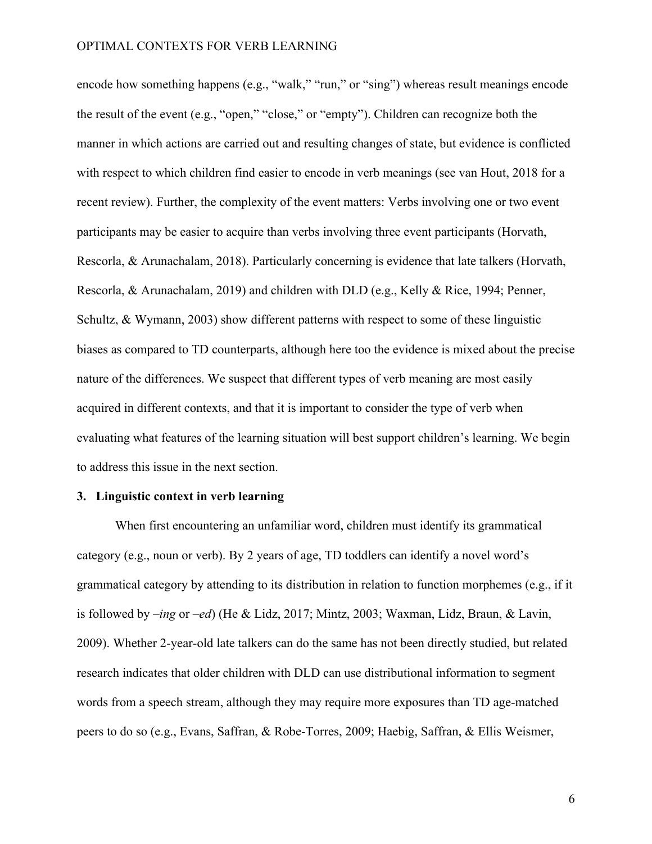encode how something happens (e.g., "walk," "run," or "sing") whereas result meanings encode the result of the event (e.g., "open," "close," or "empty"). Children can recognize both the manner in which actions are carried out and resulting changes of state, but evidence is conflicted with respect to which children find easier to encode in verb meanings (see van Hout, 2018 for a recent review). Further, the complexity of the event matters: Verbs involving one or two event participants may be easier to acquire than verbs involving three event participants (Horvath, Rescorla, & Arunachalam, 2018). Particularly concerning is evidence that late talkers (Horvath, Rescorla, & Arunachalam, 2019) and children with DLD (e.g., Kelly & Rice, 1994; Penner, Schultz, & Wymann, 2003) show different patterns with respect to some of these linguistic biases as compared to TD counterparts, although here too the evidence is mixed about the precise nature of the differences. We suspect that different types of verb meaning are most easily acquired in different contexts, and that it is important to consider the type of verb when evaluating what features of the learning situation will best support children's learning. We begin to address this issue in the next section.

## **3. Linguistic context in verb learning**

When first encountering an unfamiliar word, children must identify its grammatical category (e.g., noun or verb). By 2 years of age, TD toddlers can identify a novel word's grammatical category by attending to its distribution in relation to function morphemes (e.g., if it is followed by –*ing* or –*ed*) (He & Lidz, 2017; Mintz, 2003; Waxman, Lidz, Braun, & Lavin, 2009). Whether 2-year-old late talkers can do the same has not been directly studied, but related research indicates that older children with DLD can use distributional information to segment words from a speech stream, although they may require more exposures than TD age-matched peers to do so (e.g., Evans, Saffran, & Robe-Torres, 2009; Haebig, Saffran, & Ellis Weismer,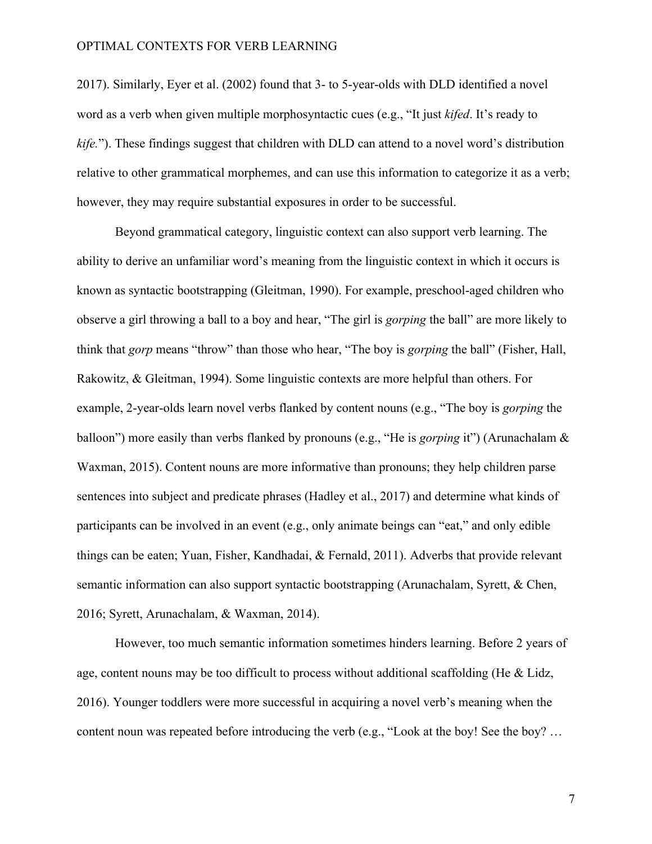2017). Similarly, Eyer et al. (2002) found that 3- to 5-year-olds with DLD identified a novel word as a verb when given multiple morphosyntactic cues (e.g., "It just *kifed*. It's ready to *kife.*"). These findings suggest that children with DLD can attend to a novel word's distribution relative to other grammatical morphemes, and can use this information to categorize it as a verb; however, they may require substantial exposures in order to be successful.

Beyond grammatical category, linguistic context can also support verb learning. The ability to derive an unfamiliar word's meaning from the linguistic context in which it occurs is known as syntactic bootstrapping (Gleitman, 1990). For example, preschool-aged children who observe a girl throwing a ball to a boy and hear, "The girl is *gorping* the ball" are more likely to think that *gorp* means "throw" than those who hear, "The boy is *gorping* the ball" (Fisher, Hall, Rakowitz, & Gleitman, 1994). Some linguistic contexts are more helpful than others. For example, 2-year-olds learn novel verbs flanked by content nouns (e.g., "The boy is *gorping* the balloon") more easily than verbs flanked by pronouns (e.g., "He is *gorping* it") (Arunachalam & Waxman, 2015). Content nouns are more informative than pronouns; they help children parse sentences into subject and predicate phrases (Hadley et al., 2017) and determine what kinds of participants can be involved in an event (e.g., only animate beings can "eat," and only edible things can be eaten; Yuan, Fisher, Kandhadai, & Fernald, 2011). Adverbs that provide relevant semantic information can also support syntactic bootstrapping (Arunachalam, Syrett, & Chen, 2016; Syrett, Arunachalam, & Waxman, 2014).

However, too much semantic information sometimes hinders learning. Before 2 years of age, content nouns may be too difficult to process without additional scaffolding (He & Lidz, 2016). Younger toddlers were more successful in acquiring a novel verb's meaning when the content noun was repeated before introducing the verb (e.g., "Look at the boy! See the boy? …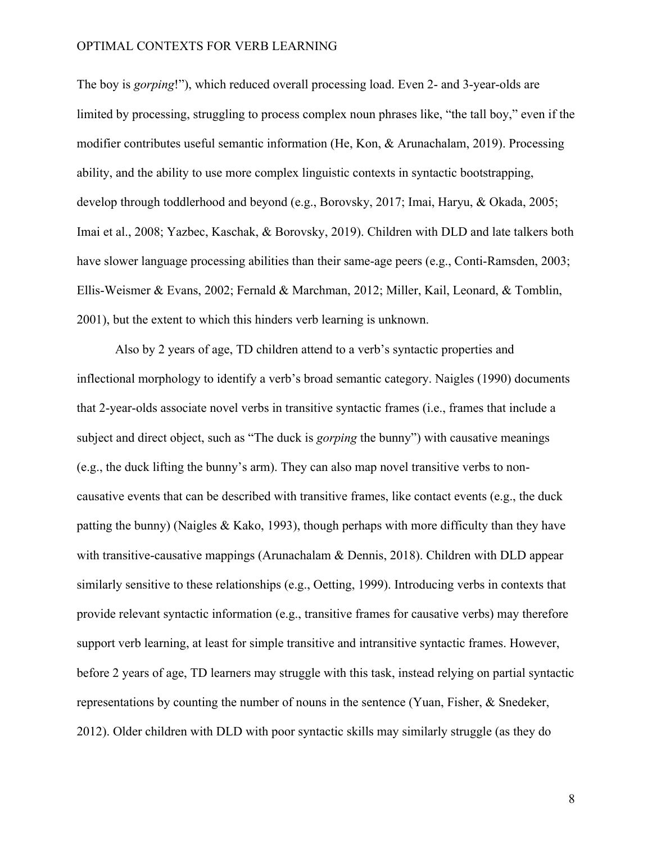The boy is *gorping*!"), which reduced overall processing load. Even 2- and 3-year-olds are limited by processing, struggling to process complex noun phrases like, "the tall boy," even if the modifier contributes useful semantic information (He, Kon, & Arunachalam, 2019). Processing ability, and the ability to use more complex linguistic contexts in syntactic bootstrapping, develop through toddlerhood and beyond (e.g., Borovsky, 2017; Imai, Haryu, & Okada, 2005; Imai et al., 2008; Yazbec, Kaschak, & Borovsky, 2019). Children with DLD and late talkers both have slower language processing abilities than their same-age peers (e.g., Conti-Ramsden, 2003; Ellis-Weismer & Evans, 2002; Fernald & Marchman, 2012; Miller, Kail, Leonard, & Tomblin, 2001), but the extent to which this hinders verb learning is unknown.

Also by 2 years of age, TD children attend to a verb's syntactic properties and inflectional morphology to identify a verb's broad semantic category. Naigles (1990) documents that 2-year-olds associate novel verbs in transitive syntactic frames (i.e., frames that include a subject and direct object, such as "The duck is *gorping* the bunny") with causative meanings (e.g., the duck lifting the bunny's arm). They can also map novel transitive verbs to noncausative events that can be described with transitive frames, like contact events (e.g., the duck patting the bunny) (Naigles & Kako, 1993), though perhaps with more difficulty than they have with transitive-causative mappings (Arunachalam & Dennis, 2018). Children with DLD appear similarly sensitive to these relationships (e.g., Oetting, 1999). Introducing verbs in contexts that provide relevant syntactic information (e.g., transitive frames for causative verbs) may therefore support verb learning, at least for simple transitive and intransitive syntactic frames. However, before 2 years of age, TD learners may struggle with this task, instead relying on partial syntactic representations by counting the number of nouns in the sentence (Yuan, Fisher, & Snedeker, 2012). Older children with DLD with poor syntactic skills may similarly struggle (as they do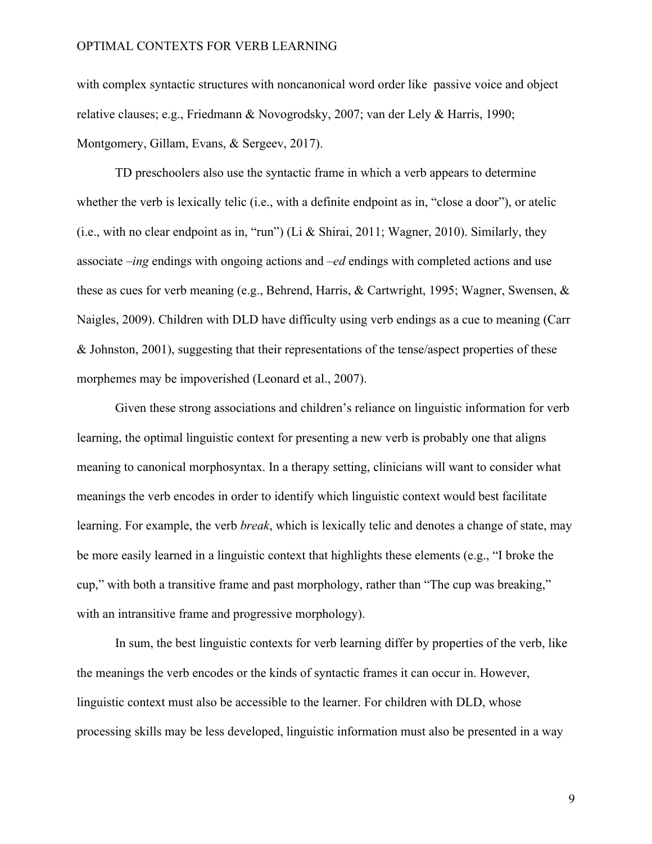with complex syntactic structures with noncanonical word order like passive voice and object relative clauses; e.g., Friedmann & Novogrodsky, 2007; van der Lely & Harris, 1990; Montgomery, Gillam, Evans, & Sergeev, 2017).

TD preschoolers also use the syntactic frame in which a verb appears to determine whether the verb is lexically telic (i.e., with a definite endpoint as in, "close a door"), or atelic (i.e., with no clear endpoint as in, "run") (Li & Shirai, 2011; Wagner, 2010). Similarly, they associate *–ing* endings with ongoing actions and *–ed* endings with completed actions and use these as cues for verb meaning (e.g., Behrend, Harris, & Cartwright, 1995; Wagner, Swensen, & Naigles, 2009). Children with DLD have difficulty using verb endings as a cue to meaning (Carr & Johnston, 2001), suggesting that their representations of the tense/aspect properties of these morphemes may be impoverished (Leonard et al., 2007).

Given these strong associations and children's reliance on linguistic information for verb learning, the optimal linguistic context for presenting a new verb is probably one that aligns meaning to canonical morphosyntax. In a therapy setting, clinicians will want to consider what meanings the verb encodes in order to identify which linguistic context would best facilitate learning. For example, the verb *break*, which is lexically telic and denotes a change of state, may be more easily learned in a linguistic context that highlights these elements (e.g., "I broke the cup," with both a transitive frame and past morphology, rather than "The cup was breaking," with an intransitive frame and progressive morphology).

In sum, the best linguistic contexts for verb learning differ by properties of the verb, like the meanings the verb encodes or the kinds of syntactic frames it can occur in. However, linguistic context must also be accessible to the learner. For children with DLD, whose processing skills may be less developed, linguistic information must also be presented in a way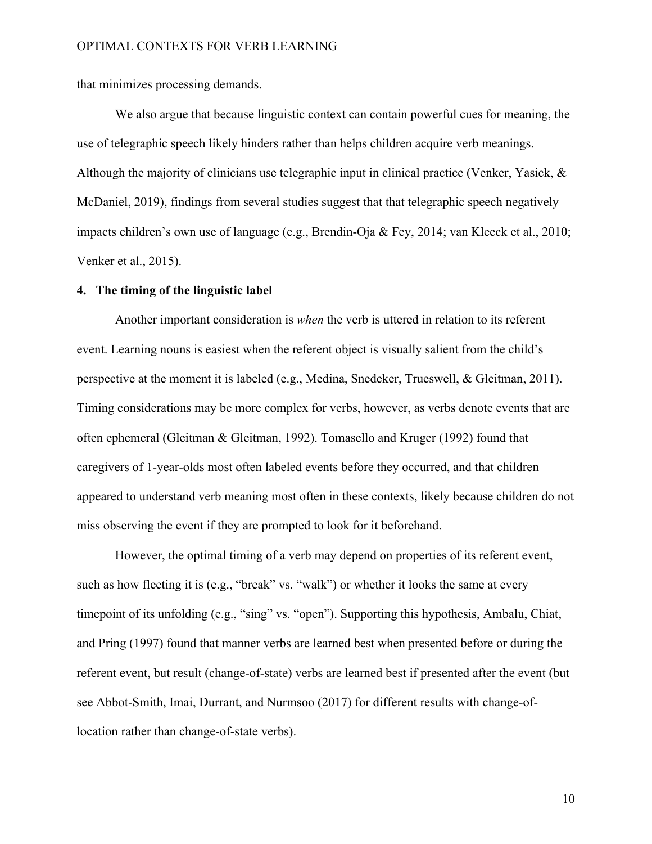that minimizes processing demands.

We also argue that because linguistic context can contain powerful cues for meaning, the use of telegraphic speech likely hinders rather than helps children acquire verb meanings. Although the majority of clinicians use telegraphic input in clinical practice (Venker, Yasick, & McDaniel, 2019), findings from several studies suggest that that telegraphic speech negatively impacts children's own use of language (e.g., Brendin-Oja & Fey, 2014; van Kleeck et al., 2010; Venker et al., 2015).

# **4. The timing of the linguistic label**

Another important consideration is *when* the verb is uttered in relation to its referent event. Learning nouns is easiest when the referent object is visually salient from the child's perspective at the moment it is labeled (e.g., Medina, Snedeker, Trueswell, & Gleitman, 2011). Timing considerations may be more complex for verbs, however, as verbs denote events that are often ephemeral (Gleitman & Gleitman, 1992). Tomasello and Kruger (1992) found that caregivers of 1-year-olds most often labeled events before they occurred, and that children appeared to understand verb meaning most often in these contexts, likely because children do not miss observing the event if they are prompted to look for it beforehand.

However, the optimal timing of a verb may depend on properties of its referent event, such as how fleeting it is (e.g., "break" vs. "walk") or whether it looks the same at every timepoint of its unfolding (e.g., "sing" vs. "open"). Supporting this hypothesis, Ambalu, Chiat, and Pring (1997) found that manner verbs are learned best when presented before or during the referent event, but result (change-of-state) verbs are learned best if presented after the event (but see Abbot-Smith, Imai, Durrant, and Nurmsoo (2017) for different results with change-oflocation rather than change-of-state verbs).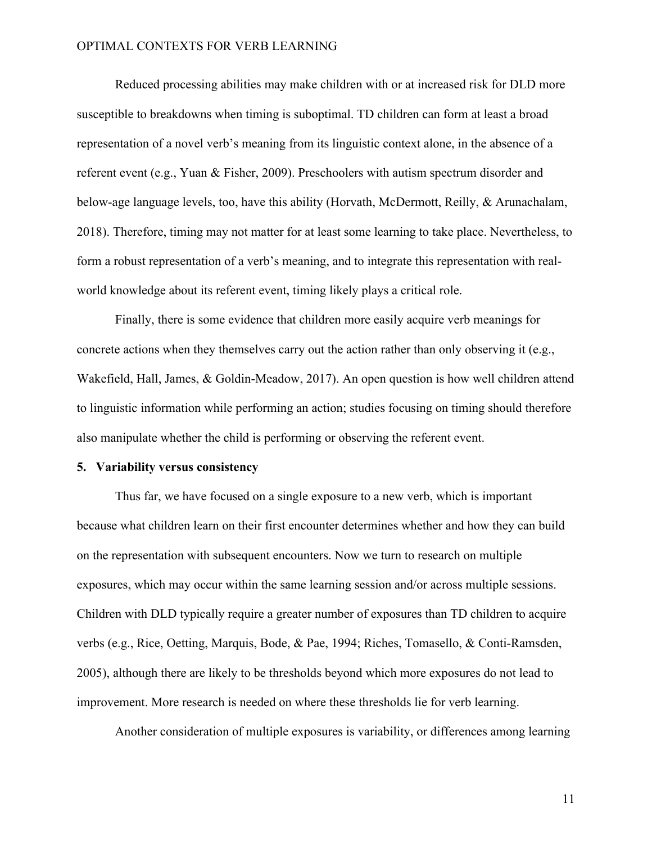Reduced processing abilities may make children with or at increased risk for DLD more susceptible to breakdowns when timing is suboptimal. TD children can form at least a broad representation of a novel verb's meaning from its linguistic context alone, in the absence of a referent event (e.g., Yuan & Fisher, 2009). Preschoolers with autism spectrum disorder and below-age language levels, too, have this ability (Horvath, McDermott, Reilly, & Arunachalam, 2018). Therefore, timing may not matter for at least some learning to take place. Nevertheless, to form a robust representation of a verb's meaning, and to integrate this representation with realworld knowledge about its referent event, timing likely plays a critical role.

Finally, there is some evidence that children more easily acquire verb meanings for concrete actions when they themselves carry out the action rather than only observing it (e.g., Wakefield, Hall, James, & Goldin-Meadow, 2017). An open question is how well children attend to linguistic information while performing an action; studies focusing on timing should therefore also manipulate whether the child is performing or observing the referent event.

## **5. Variability versus consistency**

Thus far, we have focused on a single exposure to a new verb, which is important because what children learn on their first encounter determines whether and how they can build on the representation with subsequent encounters. Now we turn to research on multiple exposures, which may occur within the same learning session and/or across multiple sessions. Children with DLD typically require a greater number of exposures than TD children to acquire verbs (e.g., Rice, Oetting, Marquis, Bode, & Pae, 1994; Riches, Tomasello, & Conti-Ramsden, 2005), although there are likely to be thresholds beyond which more exposures do not lead to improvement. More research is needed on where these thresholds lie for verb learning.

Another consideration of multiple exposures is variability, or differences among learning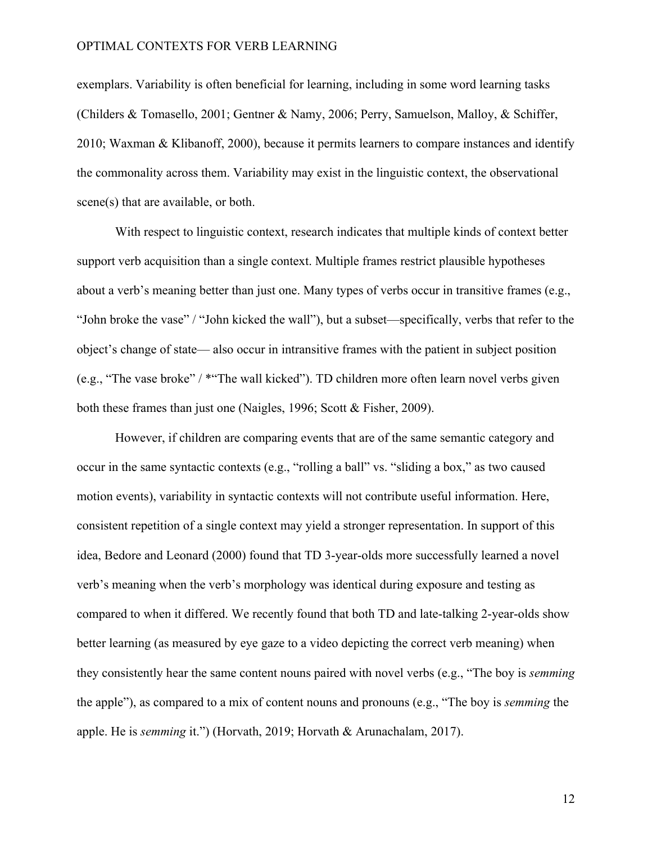exemplars. Variability is often beneficial for learning, including in some word learning tasks (Childers & Tomasello, 2001; Gentner & Namy, 2006; Perry, Samuelson, Malloy, & Schiffer, 2010; Waxman & Klibanoff, 2000), because it permits learners to compare instances and identify the commonality across them. Variability may exist in the linguistic context, the observational scene(s) that are available, or both.

With respect to linguistic context, research indicates that multiple kinds of context better support verb acquisition than a single context. Multiple frames restrict plausible hypotheses about a verb's meaning better than just one. Many types of verbs occur in transitive frames (e.g., "John broke the vase" / "John kicked the wall"), but a subset—specifically, verbs that refer to the object's change of state— also occur in intransitive frames with the patient in subject position (e.g., "The vase broke" / \*"The wall kicked"). TD children more often learn novel verbs given both these frames than just one (Naigles, 1996; Scott & Fisher, 2009).

However, if children are comparing events that are of the same semantic category and occur in the same syntactic contexts (e.g., "rolling a ball" vs. "sliding a box," as two caused motion events), variability in syntactic contexts will not contribute useful information. Here, consistent repetition of a single context may yield a stronger representation. In support of this idea, Bedore and Leonard (2000) found that TD 3-year-olds more successfully learned a novel verb's meaning when the verb's morphology was identical during exposure and testing as compared to when it differed. We recently found that both TD and late-talking 2-year-olds show better learning (as measured by eye gaze to a video depicting the correct verb meaning) when they consistently hear the same content nouns paired with novel verbs (e.g., "The boy is *semming* the apple"), as compared to a mix of content nouns and pronouns (e.g., "The boy is *semming* the apple. He is *semming* it.") (Horvath, 2019; Horvath & Arunachalam, 2017).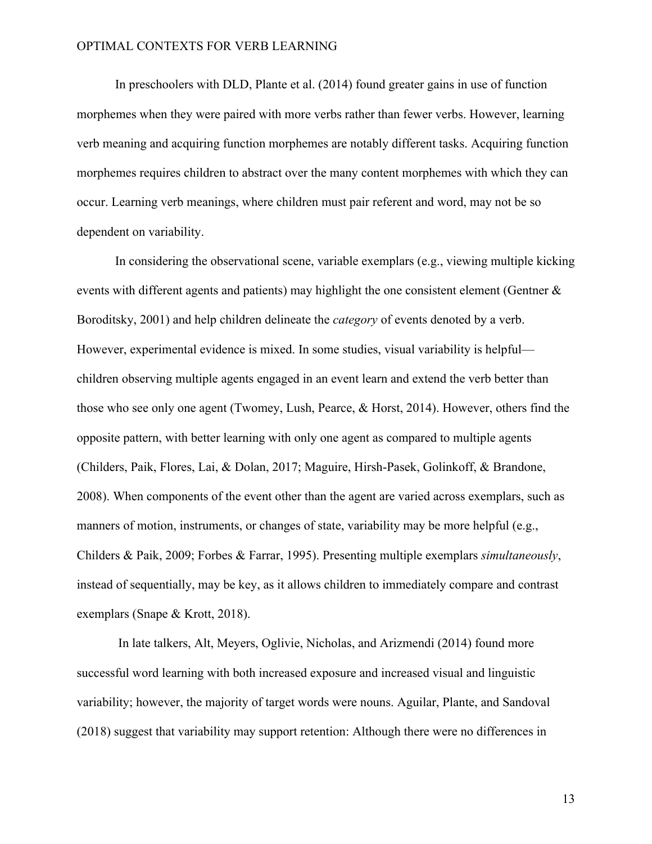In preschoolers with DLD, Plante et al. (2014) found greater gains in use of function morphemes when they were paired with more verbs rather than fewer verbs. However, learning verb meaning and acquiring function morphemes are notably different tasks. Acquiring function morphemes requires children to abstract over the many content morphemes with which they can occur. Learning verb meanings, where children must pair referent and word, may not be so dependent on variability.

In considering the observational scene, variable exemplars (e.g., viewing multiple kicking events with different agents and patients) may highlight the one consistent element (Gentner & Boroditsky, 2001) and help children delineate the *category* of events denoted by a verb. However, experimental evidence is mixed. In some studies, visual variability is helpful children observing multiple agents engaged in an event learn and extend the verb better than those who see only one agent (Twomey, Lush, Pearce, & Horst, 2014). However, others find the opposite pattern, with better learning with only one agent as compared to multiple agents (Childers, Paik, Flores, Lai, & Dolan, 2017; Maguire, Hirsh-Pasek, Golinkoff, & Brandone, 2008). When components of the event other than the agent are varied across exemplars, such as manners of motion, instruments, or changes of state, variability may be more helpful (e.g., Childers & Paik, 2009; Forbes & Farrar, 1995). Presenting multiple exemplars *simultaneously*, instead of sequentially, may be key, as it allows children to immediately compare and contrast exemplars (Snape & Krott, 2018).

In late talkers, Alt, Meyers, Oglivie, Nicholas, and Arizmendi (2014) found more successful word learning with both increased exposure and increased visual and linguistic variability; however, the majority of target words were nouns. Aguilar, Plante, and Sandoval (2018) suggest that variability may support retention: Although there were no differences in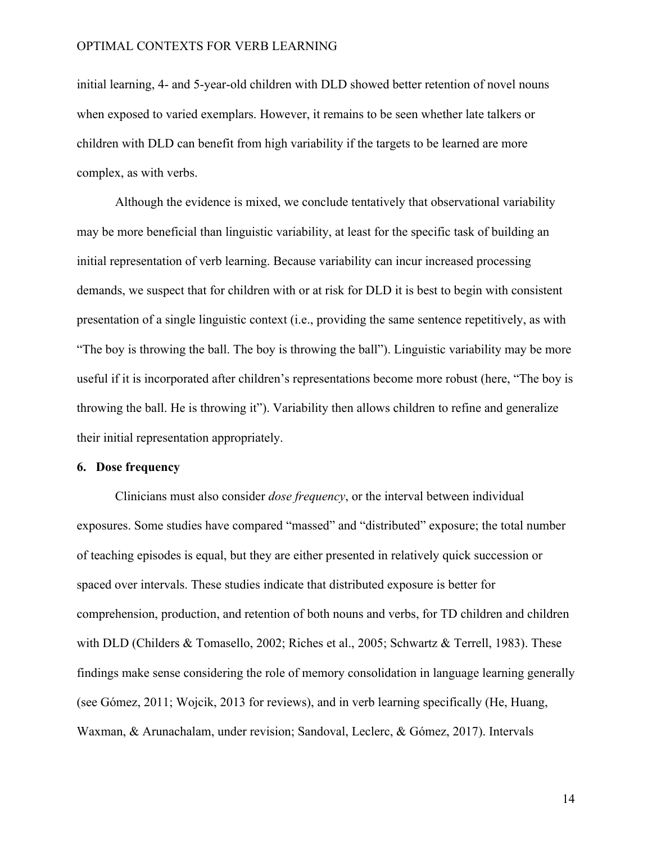initial learning, 4- and 5-year-old children with DLD showed better retention of novel nouns when exposed to varied exemplars. However, it remains to be seen whether late talkers or children with DLD can benefit from high variability if the targets to be learned are more complex, as with verbs.

Although the evidence is mixed, we conclude tentatively that observational variability may be more beneficial than linguistic variability, at least for the specific task of building an initial representation of verb learning. Because variability can incur increased processing demands, we suspect that for children with or at risk for DLD it is best to begin with consistent presentation of a single linguistic context (i.e., providing the same sentence repetitively, as with "The boy is throwing the ball. The boy is throwing the ball"). Linguistic variability may be more useful if it is incorporated after children's representations become more robust (here, "The boy is throwing the ball. He is throwing it"). Variability then allows children to refine and generalize their initial representation appropriately.

# **6. Dose frequency**

Clinicians must also consider *dose frequency*, or the interval between individual exposures. Some studies have compared "massed" and "distributed" exposure; the total number of teaching episodes is equal, but they are either presented in relatively quick succession or spaced over intervals. These studies indicate that distributed exposure is better for comprehension, production, and retention of both nouns and verbs, for TD children and children with DLD (Childers & Tomasello, 2002; Riches et al., 2005; Schwartz & Terrell, 1983). These findings make sense considering the role of memory consolidation in language learning generally (see Gómez, 2011; Wojcik, 2013 for reviews), and in verb learning specifically (He, Huang, Waxman, & Arunachalam, under revision; Sandoval, Leclerc, & Gómez, 2017). Intervals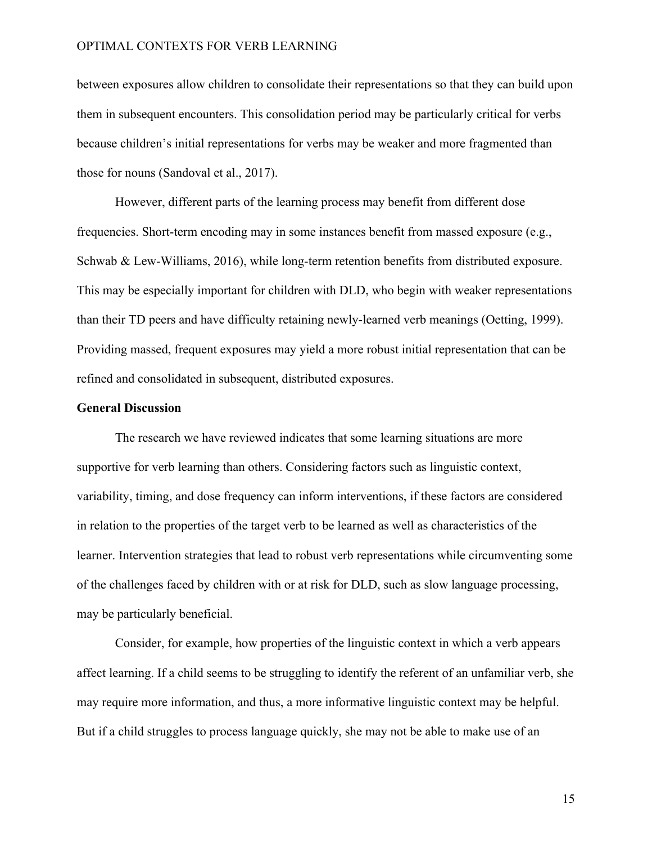between exposures allow children to consolidate their representations so that they can build upon them in subsequent encounters. This consolidation period may be particularly critical for verbs because children's initial representations for verbs may be weaker and more fragmented than those for nouns (Sandoval et al., 2017).

However, different parts of the learning process may benefit from different dose frequencies. Short-term encoding may in some instances benefit from massed exposure (e.g., Schwab & Lew-Williams, 2016), while long-term retention benefits from distributed exposure. This may be especially important for children with DLD, who begin with weaker representations than their TD peers and have difficulty retaining newly-learned verb meanings (Oetting, 1999). Providing massed, frequent exposures may yield a more robust initial representation that can be refined and consolidated in subsequent, distributed exposures.

## **General Discussion**

The research we have reviewed indicates that some learning situations are more supportive for verb learning than others. Considering factors such as linguistic context, variability, timing, and dose frequency can inform interventions, if these factors are considered in relation to the properties of the target verb to be learned as well as characteristics of the learner. Intervention strategies that lead to robust verb representations while circumventing some of the challenges faced by children with or at risk for DLD, such as slow language processing, may be particularly beneficial.

Consider, for example, how properties of the linguistic context in which a verb appears affect learning. If a child seems to be struggling to identify the referent of an unfamiliar verb, she may require more information, and thus, a more informative linguistic context may be helpful. But if a child struggles to process language quickly, she may not be able to make use of an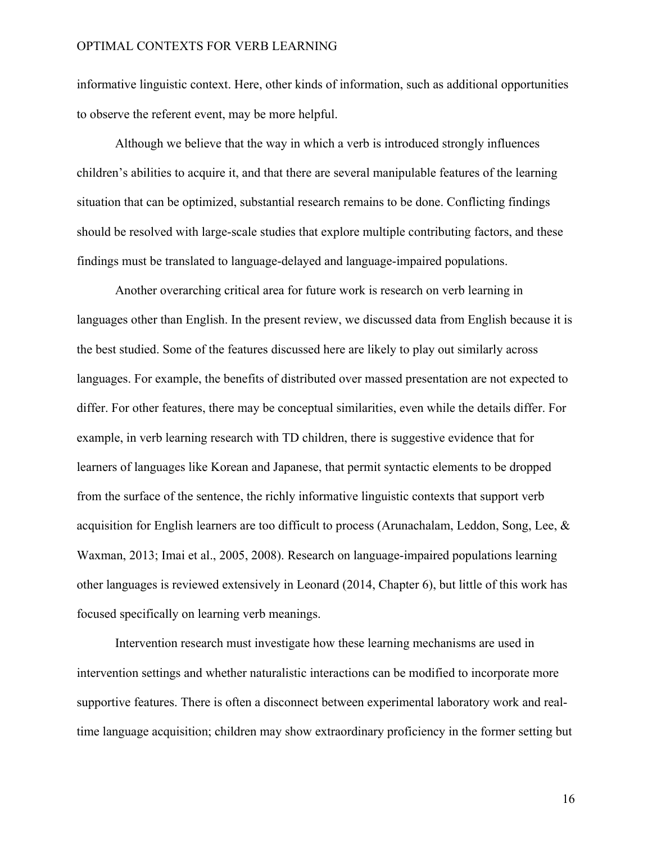informative linguistic context. Here, other kinds of information, such as additional opportunities to observe the referent event, may be more helpful.

Although we believe that the way in which a verb is introduced strongly influences children's abilities to acquire it, and that there are several manipulable features of the learning situation that can be optimized, substantial research remains to be done. Conflicting findings should be resolved with large-scale studies that explore multiple contributing factors, and these findings must be translated to language-delayed and language-impaired populations.

Another overarching critical area for future work is research on verb learning in languages other than English. In the present review, we discussed data from English because it is the best studied. Some of the features discussed here are likely to play out similarly across languages. For example, the benefits of distributed over massed presentation are not expected to differ. For other features, there may be conceptual similarities, even while the details differ. For example, in verb learning research with TD children, there is suggestive evidence that for learners of languages like Korean and Japanese, that permit syntactic elements to be dropped from the surface of the sentence, the richly informative linguistic contexts that support verb acquisition for English learners are too difficult to process (Arunachalam, Leddon, Song, Lee, & Waxman, 2013; Imai et al., 2005, 2008). Research on language-impaired populations learning other languages is reviewed extensively in Leonard (2014, Chapter 6), but little of this work has focused specifically on learning verb meanings.

Intervention research must investigate how these learning mechanisms are used in intervention settings and whether naturalistic interactions can be modified to incorporate more supportive features. There is often a disconnect between experimental laboratory work and realtime language acquisition; children may show extraordinary proficiency in the former setting but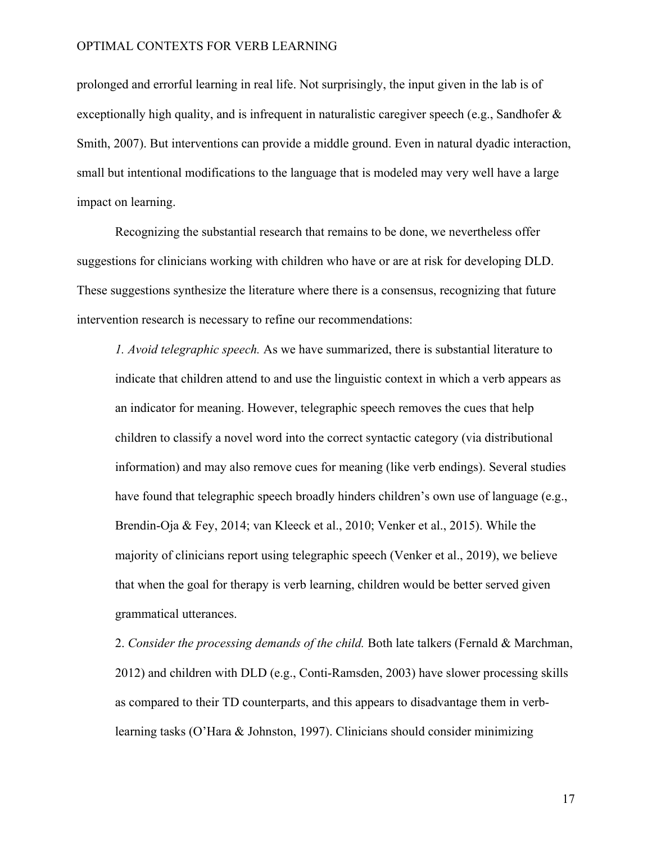prolonged and errorful learning in real life. Not surprisingly, the input given in the lab is of exceptionally high quality, and is infrequent in naturalistic caregiver speech (e.g., Sandhofer  $\&$ Smith, 2007). But interventions can provide a middle ground. Even in natural dyadic interaction, small but intentional modifications to the language that is modeled may very well have a large impact on learning.

Recognizing the substantial research that remains to be done, we nevertheless offer suggestions for clinicians working with children who have or are at risk for developing DLD. These suggestions synthesize the literature where there is a consensus, recognizing that future intervention research is necessary to refine our recommendations:

*1. Avoid telegraphic speech.* As we have summarized, there is substantial literature to indicate that children attend to and use the linguistic context in which a verb appears as an indicator for meaning. However, telegraphic speech removes the cues that help children to classify a novel word into the correct syntactic category (via distributional information) and may also remove cues for meaning (like verb endings). Several studies have found that telegraphic speech broadly hinders children's own use of language (e.g., Brendin-Oja & Fey, 2014; van Kleeck et al., 2010; Venker et al., 2015). While the majority of clinicians report using telegraphic speech (Venker et al., 2019), we believe that when the goal for therapy is verb learning, children would be better served given grammatical utterances.

2. *Consider the processing demands of the child.* Both late talkers (Fernald & Marchman, 2012) and children with DLD (e.g., Conti-Ramsden, 2003) have slower processing skills as compared to their TD counterparts, and this appears to disadvantage them in verblearning tasks (O'Hara & Johnston, 1997). Clinicians should consider minimizing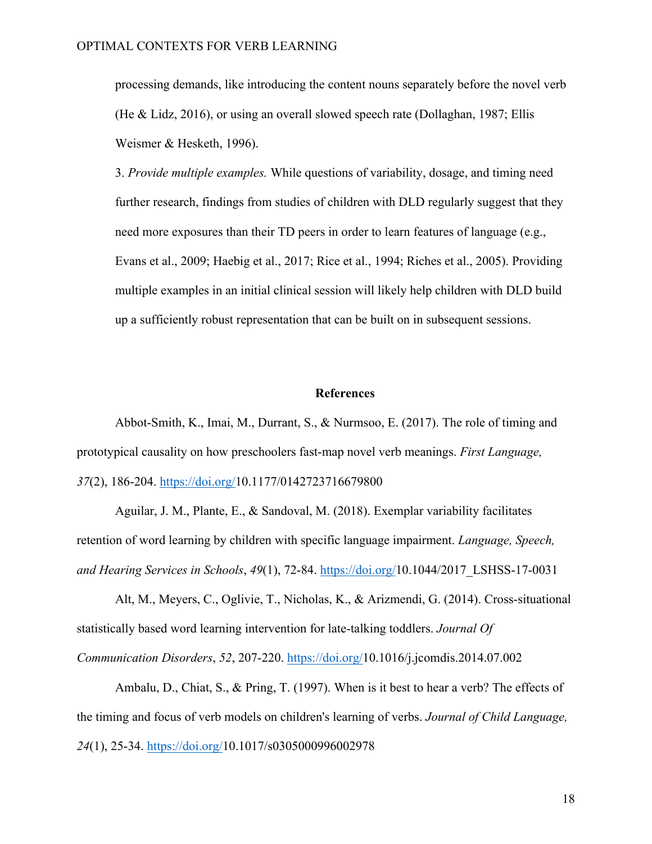processing demands, like introducing the content nouns separately before the novel verb (He & Lidz, 2016), or using an overall slowed speech rate (Dollaghan, 1987; Ellis Weismer & Hesketh, 1996).

3. *Provide multiple examples.* While questions of variability, dosage, and timing need further research, findings from studies of children with DLD regularly suggest that they need more exposures than their TD peers in order to learn features of language (e.g., Evans et al., 2009; Haebig et al., 2017; Rice et al., 1994; Riches et al., 2005). Providing multiple examples in an initial clinical session will likely help children with DLD build up a sufficiently robust representation that can be built on in subsequent sessions.

# **References**

Abbot-Smith, K., Imai, M., Durrant, S., & Nurmsoo, E. (2017). The role of timing and prototypical causality on how preschoolers fast-map novel verb meanings. *First Language, 37*(2), 186-204. https://doi.org/10.1177/0142723716679800

Aguilar, J. M., Plante, E., & Sandoval, M. (2018). Exemplar variability facilitates retention of word learning by children with specific language impairment. *Language, Speech, and Hearing Services in Schools*, *49*(1), 72-84. https://doi.org/10.1044/2017\_LSHSS-17-0031

Alt, M., Meyers, C., Oglivie, T., Nicholas, K., & Arizmendi, G. (2014). Cross-situational statistically based word learning intervention for late-talking toddlers. *Journal Of Communication Disorders*, *52*, 207-220. https://doi.org/10.1016/j.jcomdis.2014.07.002

Ambalu, D., Chiat, S., & Pring, T. (1997). When is it best to hear a verb? The effects of the timing and focus of verb models on children's learning of verbs. *Journal of Child Language, 24*(1), 25-34. https://doi.org/10.1017/s0305000996002978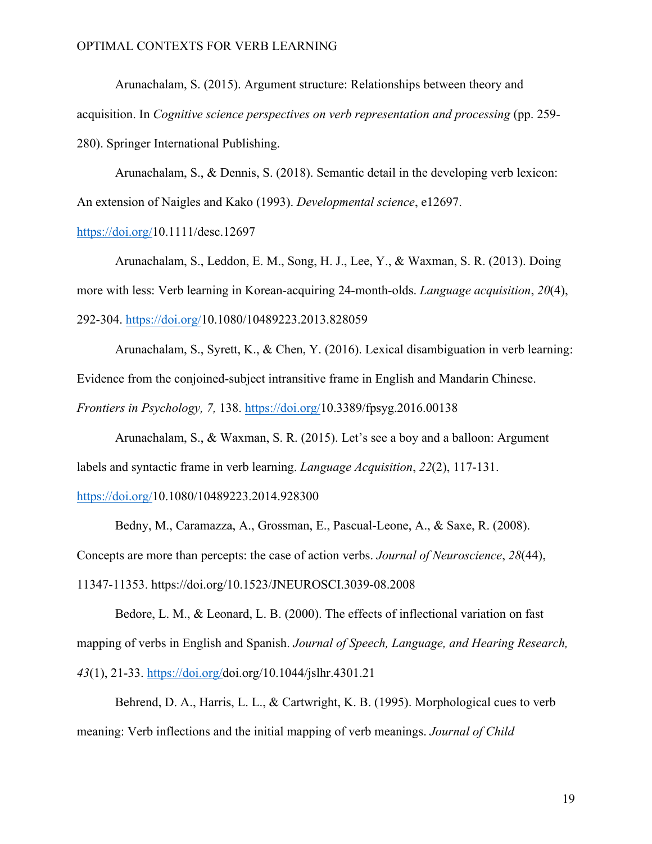Arunachalam, S. (2015). Argument structure: Relationships between theory and acquisition. In *Cognitive science perspectives on verb representation and processing* (pp. 259- 280). Springer International Publishing.

Arunachalam, S., & Dennis, S. (2018). Semantic detail in the developing verb lexicon: An extension of Naigles and Kako (1993). *Developmental science*, e12697.

https://doi.org/10.1111/desc.12697

Arunachalam, S., Leddon, E. M., Song, H. J., Lee, Y., & Waxman, S. R. (2013). Doing more with less: Verb learning in Korean-acquiring 24-month-olds. *Language acquisition*, *20*(4), 292-304. https://doi.org/10.1080/10489223.2013.828059

Arunachalam, S., Syrett, K., & Chen, Y. (2016). Lexical disambiguation in verb learning: Evidence from the conjoined-subject intransitive frame in English and Mandarin Chinese. *Frontiers in Psychology, 7,* 138. https://doi.org/10.3389/fpsyg.2016.00138

Arunachalam, S., & Waxman, S. R. (2015). Let's see a boy and a balloon: Argument labels and syntactic frame in verb learning. *Language Acquisition*, *22*(2), 117-131.

#### https://doi.org/10.1080/10489223.2014.928300

Bedny, M., Caramazza, A., Grossman, E., Pascual-Leone, A., & Saxe, R. (2008). Concepts are more than percepts: the case of action verbs. *Journal of Neuroscience*, *28*(44), 11347-11353. https://doi.org/10.1523/JNEUROSCI.3039-08.2008

Bedore, L. M., & Leonard, L. B. (2000). The effects of inflectional variation on fast mapping of verbs in English and Spanish. *Journal of Speech, Language, and Hearing Research, 43*(1), 21-33. https://doi.org/doi.org/10.1044/jslhr.4301.21

Behrend, D. A., Harris, L. L., & Cartwright, K. B. (1995). Morphological cues to verb meaning: Verb inflections and the initial mapping of verb meanings. *Journal of Child*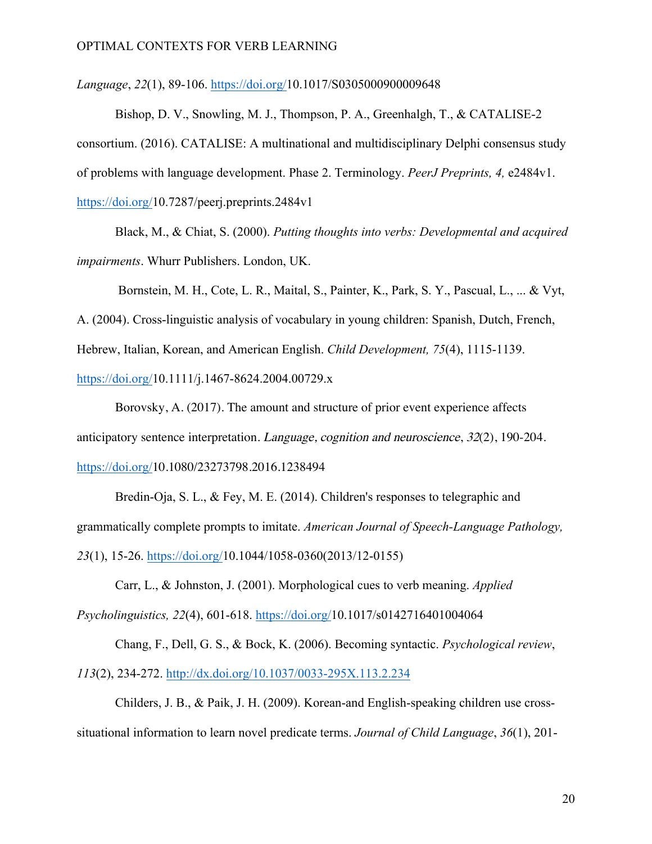*Language*, *22*(1), 89-106. https://doi.org/10.1017/S0305000900009648

Bishop, D. V., Snowling, M. J., Thompson, P. A., Greenhalgh, T., & CATALISE-2 consortium. (2016). CATALISE: A multinational and multidisciplinary Delphi consensus study of problems with language development. Phase 2. Terminology. *PeerJ Preprints, 4,* e2484v1. https://doi.org/10.7287/peerj.preprints.2484v1

Black, M., & Chiat, S. (2000). *Putting thoughts into verbs: Developmental and acquired impairments*. Whurr Publishers. London, UK.

Bornstein, M. H., Cote, L. R., Maital, S., Painter, K., Park, S. Y., Pascual, L., ... & Vyt, A. (2004). Cross-linguistic analysis of vocabulary in young children: Spanish, Dutch, French, Hebrew, Italian, Korean, and American English. *Child Development, 75*(4), 1115-1139. https://doi.org/10.1111/j.1467-8624.2004.00729.x

Borovsky, A. (2017). The amount and structure of prior event experience affects anticipatory sentence interpretation. Language, cognition and neuroscience, 32(2), 190-204. https://doi.org/10.1080/23273798.2016.1238494

Bredin-Oja, S. L., & Fey, M. E. (2014). Children's responses to telegraphic and grammatically complete prompts to imitate. *American Journal of Speech-Language Pathology, 23*(1), 15-26. https://doi.org/10.1044/1058-0360(2013/12-0155)

Carr, L., & Johnston, J. (2001). Morphological cues to verb meaning. *Applied Psycholinguistics, 22*(4), 601-618. https://doi.org/10.1017/s0142716401004064

Chang, F., Dell, G. S., & Bock, K. (2006). Becoming syntactic. *Psychological review*, *113*(2), 234-272. http://dx.doi.org/10.1037/0033-295X.113.2.234

Childers, J. B., & Paik, J. H. (2009). Korean-and English-speaking children use crosssituational information to learn novel predicate terms. *Journal of Child Language*, *36*(1), 201-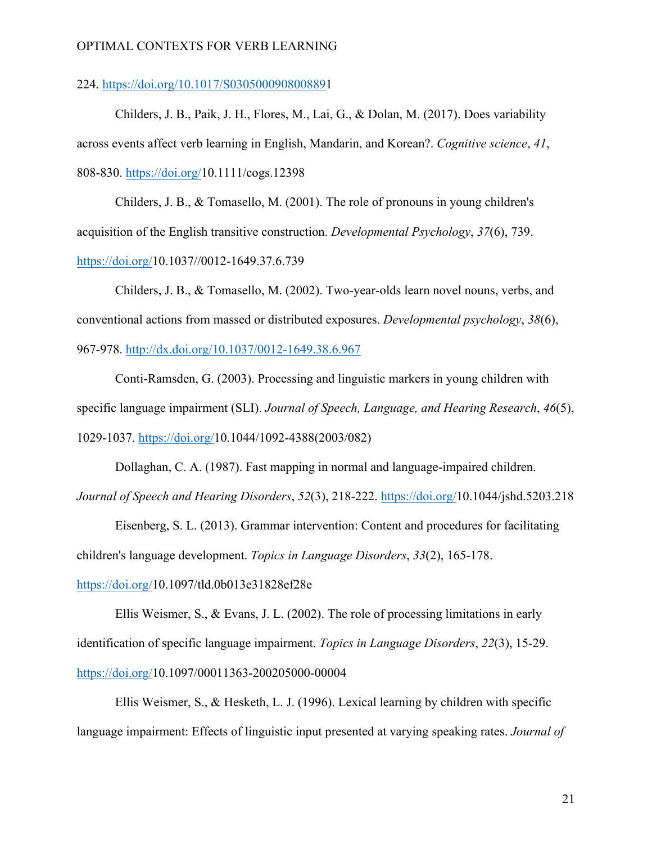#### 224. https://doi.org/10.1017/S0305000908008891

Childers, J. B., Paik, J. H., Flores, M., Lai, G., & Dolan, M. (2017). Does variability across events affect verb learning in English, Mandarin, and Korean?. *Cognitive science*, *41*, 808-830. https://doi.org/10.1111/cogs.12398

Childers, J. B., & Tomasello, M. (2001). The role of pronouns in young children's acquisition of the English transitive construction. *Developmental Psychology*, *37*(6), 739. https://doi.org/10.1037//0012-1649.37.6.739

Childers, J. B., & Tomasello, M. (2002). Two-year-olds learn novel nouns, verbs, and conventional actions from massed or distributed exposures. *Developmental psychology*, *38*(6), 967-978. http://dx.doi.org/10.1037/0012-1649.38.6.967

Conti-Ramsden, G. (2003). Processing and linguistic markers in young children with specific language impairment (SLI). *Journal of Speech, Language, and Hearing Research*, *46*(5), 1029-1037. https://doi.org/10.1044/1092-4388(2003/082)

Dollaghan, C. A. (1987). Fast mapping in normal and language-impaired children. *Journal of Speech and Hearing Disorders*, *52*(3), 218-222. https://doi.org/10.1044/jshd.5203.218

Eisenberg, S. L. (2013). Grammar intervention: Content and procedures for facilitating children's language development. *Topics in Language Disorders*, *33*(2), 165-178.

## https://doi.org/10.1097/tld.0b013e31828ef28e

Ellis Weismer, S., & Evans, J. L. (2002). The role of processing limitations in early identification of specific language impairment. *Topics in Language Disorders*, *22*(3), 15-29. https://doi.org/10.1097/00011363-200205000-00004

Ellis Weismer, S., & Hesketh, L. J. (1996). Lexical learning by children with specific language impairment: Effects of linguistic input presented at varying speaking rates. *Journal of*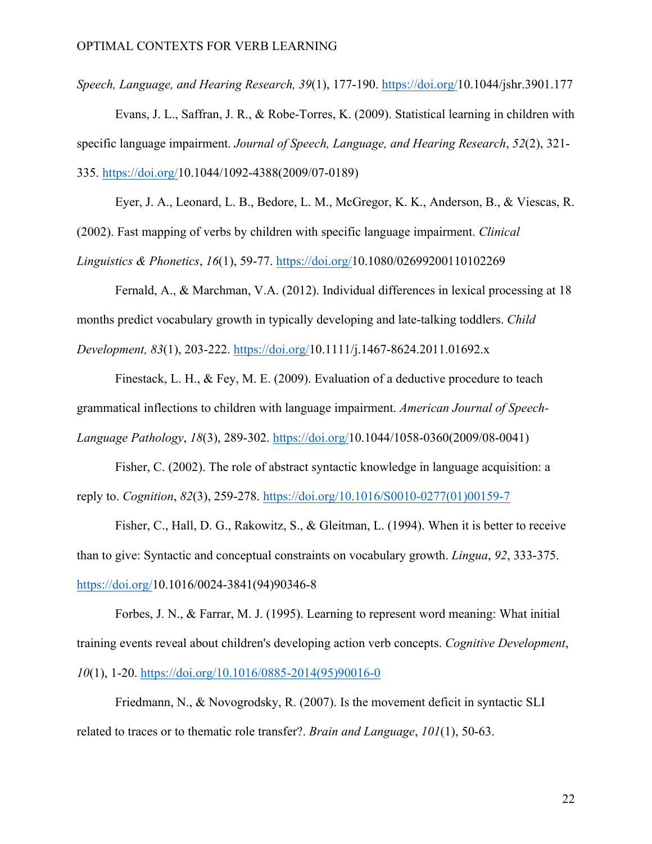*Speech, Language, and Hearing Research, 39*(1), 177-190. https://doi.org/10.1044/jshr.3901.177

Evans, J. L., Saffran, J. R., & Robe-Torres, K. (2009). Statistical learning in children with specific language impairment. *Journal of Speech, Language, and Hearing Research*, *52*(2), 321- 335. https://doi.org/10.1044/1092-4388(2009/07-0189)

Eyer, J. A., Leonard, L. B., Bedore, L. M., McGregor, K. K., Anderson, B., & Viescas, R. (2002). Fast mapping of verbs by children with specific language impairment. *Clinical Linguistics & Phonetics*, *16*(1), 59-77. https://doi.org/10.1080/02699200110102269

Fernald, A., & Marchman, V.A. (2012). Individual differences in lexical processing at 18 months predict vocabulary growth in typically developing and late-talking toddlers. *Child Development, 83*(1), 203-222. https://doi.org/10.1111/j.1467-8624.2011.01692.x

Finestack, L. H., & Fey, M. E. (2009). Evaluation of a deductive procedure to teach grammatical inflections to children with language impairment. *American Journal of Speech-Language Pathology*, *18*(3), 289-302. https://doi.org/10.1044/1058-0360(2009/08-0041)

Fisher, C. (2002). The role of abstract syntactic knowledge in language acquisition: a reply to. *Cognition*, *82*(3), 259-278. https://doi.org/10.1016/S0010-0277(01)00159-7

Fisher, C., Hall, D. G., Rakowitz, S., & Gleitman, L. (1994). When it is better to receive than to give: Syntactic and conceptual constraints on vocabulary growth. *Lingua*, *92*, 333-375. https://doi.org/10.1016/0024-3841(94)90346-8

Forbes, J. N., & Farrar, M. J. (1995). Learning to represent word meaning: What initial training events reveal about children's developing action verb concepts. *Cognitive Development*, *10*(1), 1-20. https://doi.org/10.1016/0885-2014(95)90016-0

Friedmann, N., & Novogrodsky, R. (2007). Is the movement deficit in syntactic SLI related to traces or to thematic role transfer?. *Brain and Language*, *101*(1), 50-63.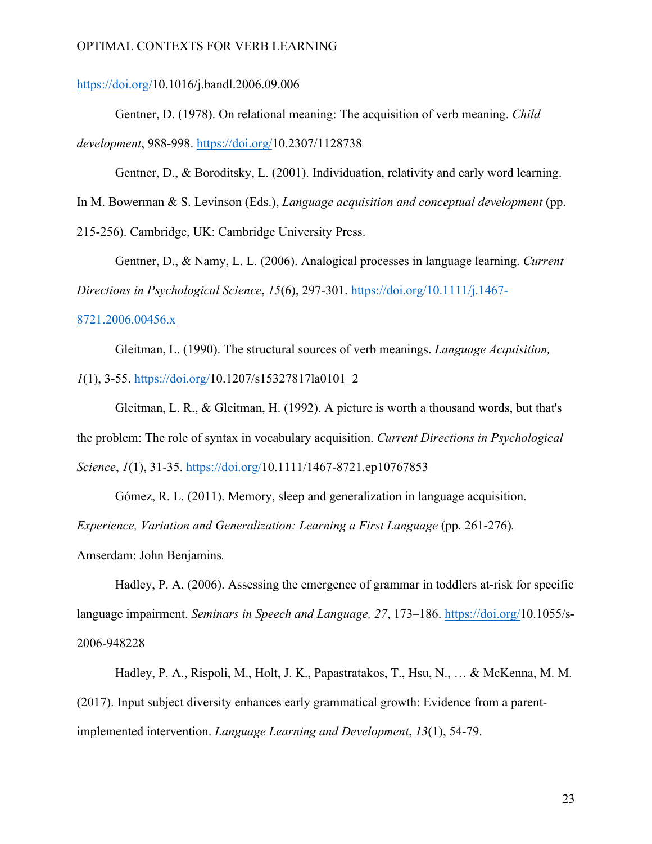https://doi.org/10.1016/j.bandl.2006.09.006

Gentner, D. (1978). On relational meaning: The acquisition of verb meaning. *Child development*, 988-998. https://doi.org/10.2307/1128738

Gentner, D., & Boroditsky, L. (2001). Individuation, relativity and early word learning.

In M. Bowerman & S. Levinson (Eds.), *Language acquisition and conceptual development* (pp.

215-256). Cambridge, UK: Cambridge University Press.

Gentner, D., & Namy, L. L. (2006). Analogical processes in language learning. *Current Directions in Psychological Science*, *15*(6), 297-301. https://doi.org/10.1111/j.1467-

#### 8721.2006.00456.x

Gleitman, L. (1990). The structural sources of verb meanings. *Language Acquisition, 1*(1), 3-55. https://doi.org/10.1207/s15327817la0101\_2

Gleitman, L. R., & Gleitman, H. (1992). A picture is worth a thousand words, but that's the problem: The role of syntax in vocabulary acquisition. *Current Directions in Psychological Science*, *1*(1), 31-35. https://doi.org/10.1111/1467-8721.ep10767853

Gómez, R. L. (2011). Memory, sleep and generalization in language acquisition. *Experience, Variation and Generalization: Learning a First Language* (pp. 261-276). Amserdam: John Benjamins*.*

Hadley, P. A. (2006). Assessing the emergence of grammar in toddlers at-risk for specific language impairment. *Seminars in Speech and Language, 27*, 173–186. https://doi.org/10.1055/s-2006-948228

Hadley, P. A., Rispoli, M., Holt, J. K., Papastratakos, T., Hsu, N., … & McKenna, M. M. (2017). Input subject diversity enhances early grammatical growth: Evidence from a parentimplemented intervention. *Language Learning and Development*, *13*(1), 54-79.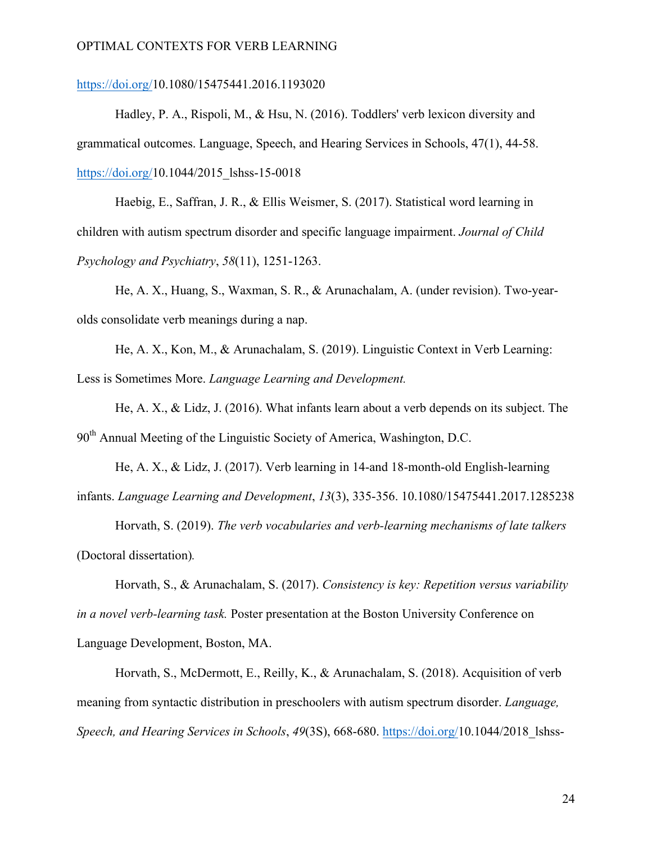# https://doi.org/10.1080/15475441.2016.1193020

Hadley, P. A., Rispoli, M., & Hsu, N. (2016). Toddlers' verb lexicon diversity and grammatical outcomes. Language, Speech, and Hearing Services in Schools, 47(1), 44-58. https://doi.org/10.1044/2015 lshss-15-0018

Haebig, E., Saffran, J. R., & Ellis Weismer, S. (2017). Statistical word learning in children with autism spectrum disorder and specific language impairment. *Journal of Child Psychology and Psychiatry*, *58*(11), 1251-1263.

He, A. X., Huang, S., Waxman, S. R., & Arunachalam, A. (under revision). Two-yearolds consolidate verb meanings during a nap.

He, A. X., Kon, M., & Arunachalam, S. (2019). Linguistic Context in Verb Learning: Less is Sometimes More. *Language Learning and Development.*

He, A. X., & Lidz, J. (2016). What infants learn about a verb depends on its subject. The 90<sup>th</sup> Annual Meeting of the Linguistic Society of America, Washington, D.C.

He, A. X., & Lidz, J. (2017). Verb learning in 14-and 18-month-old English-learning infants. *Language Learning and Development*, *13*(3), 335-356. 10.1080/15475441.2017.1285238

Horvath, S. (2019). *The verb vocabularies and verb-learning mechanisms of late talkers* (Doctoral dissertation)*.*

Horvath, S., & Arunachalam, S. (2017). *Consistency is key: Repetition versus variability in a novel verb-learning task.* Poster presentation at the Boston University Conference on Language Development, Boston, MA.

Horvath, S., McDermott, E., Reilly, K., & Arunachalam, S. (2018). Acquisition of verb meaning from syntactic distribution in preschoolers with autism spectrum disorder. *Language, Speech, and Hearing Services in Schools*, *49*(3S), 668-680. https://doi.org/10.1044/2018\_lshss-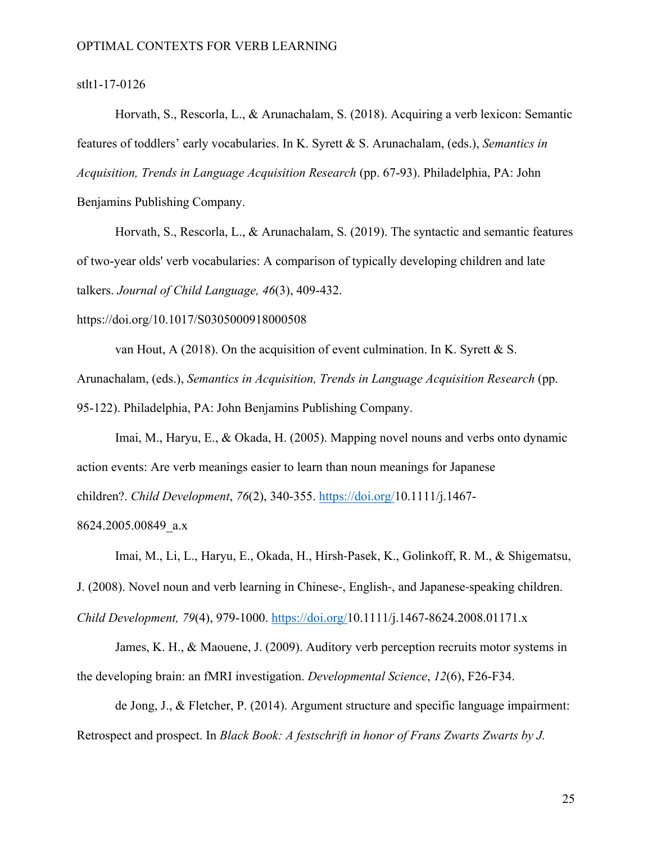## stlt1-17-0126

Horvath, S., Rescorla, L., & Arunachalam, S. (2018). Acquiring a verb lexicon: Semantic features of toddlers' early vocabularies. In K. Syrett & S. Arunachalam, (eds.), *Semantics in Acquisition, Trends in Language Acquisition Research* (pp. 67-93). Philadelphia, PA: John Benjamins Publishing Company.

Horvath, S., Rescorla, L., & Arunachalam, S. (2019). The syntactic and semantic features of two-year olds' verb vocabularies: A comparison of typically developing children and late talkers. *Journal of Child Language, 46*(3), 409-432.

https://doi.org/10.1017/S0305000918000508

van Hout, A (2018). On the acquisition of event culmination. In K. Syrett & S.

Arunachalam, (eds.), *Semantics in Acquisition, Trends in Language Acquisition Research* (pp.

95-122). Philadelphia, PA: John Benjamins Publishing Company.

Imai, M., Haryu, E., & Okada, H. (2005). Mapping novel nouns and verbs onto dynamic action events: Are verb meanings easier to learn than noun meanings for Japanese children?. *Child Development*, *76*(2), 340-355. https://doi.org/10.1111/j.1467-

8624.2005.00849\_a.x

Imai, M., Li, L., Haryu, E., Okada, H., Hirsh-Pasek, K., Golinkoff, R. M., & Shigematsu, J. (2008). Novel noun and verb learning in Chinese-, English-, and Japanese-speaking children.

*Child Development, 79*(4), 979-1000. https://doi.org/10.1111/j.1467-8624.2008.01171.x

James, K. H., & Maouene, J. (2009). Auditory verb perception recruits motor systems in the developing brain: an fMRI investigation. *Developmental Science*, *12*(6), F26-F34.

de Jong, J., & Fletcher, P. (2014). Argument structure and specific language impairment: Retrospect and prospect. In *Black Book: A festschrift in honor of Frans Zwarts Zwarts by J.*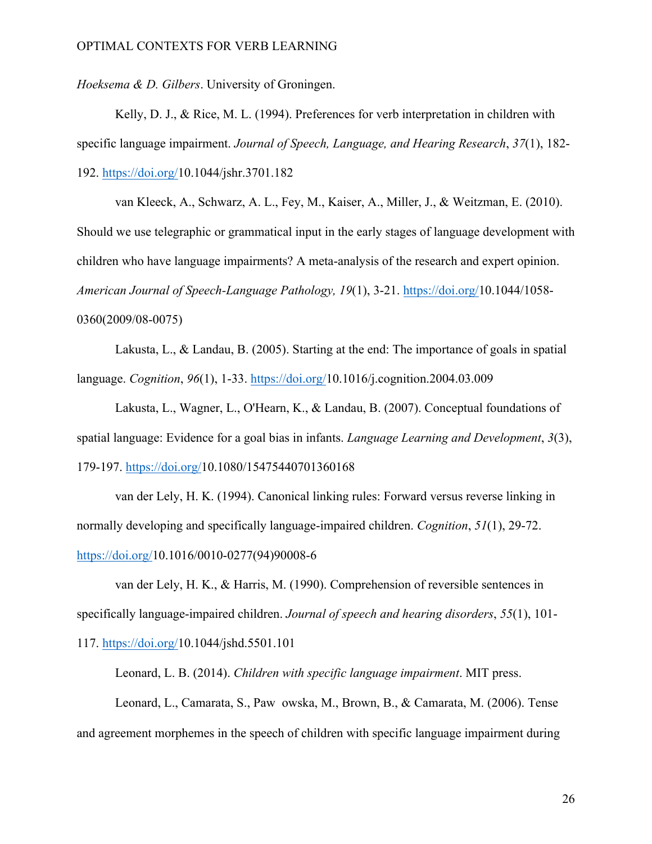*Hoeksema & D. Gilbers*. University of Groningen.

Kelly, D. J., & Rice, M. L. (1994). Preferences for verb interpretation in children with specific language impairment. *Journal of Speech, Language, and Hearing Research*, *37*(1), 182- 192. https://doi.org/10.1044/jshr.3701.182

van Kleeck, A., Schwarz, A. L., Fey, M., Kaiser, A., Miller, J., & Weitzman, E. (2010). Should we use telegraphic or grammatical input in the early stages of language development with children who have language impairments? A meta-analysis of the research and expert opinion. *American Journal of Speech-Language Pathology, 19*(1), 3-21. https://doi.org/10.1044/1058- 0360(2009/08-0075)

Lakusta, L., & Landau, B. (2005). Starting at the end: The importance of goals in spatial language. *Cognition*, *96*(1), 1-33. https://doi.org/10.1016/j.cognition.2004.03.009

Lakusta, L., Wagner, L., O'Hearn, K., & Landau, B. (2007). Conceptual foundations of spatial language: Evidence for a goal bias in infants. *Language Learning and Development*, *3*(3), 179-197. https://doi.org/10.1080/15475440701360168

van der Lely, H. K. (1994). Canonical linking rules: Forward versus reverse linking in normally developing and specifically language-impaired children. *Cognition*, *51*(1), 29-72. https://doi.org/10.1016/0010-0277(94)90008-6

van der Lely, H. K., & Harris, M. (1990). Comprehension of reversible sentences in specifically language-impaired children. *Journal of speech and hearing disorders*, *55*(1), 101- 117. https://doi.org/10.1044/jshd.5501.101

Leonard, L. B. (2014). *Children with specific language impairment*. MIT press.

Leonard, L., Camarata, S., Pawowska, M., Brown, B., & Camarata, M. (2006). Tense and agreement morphemes in the speech of children with specific language impairment during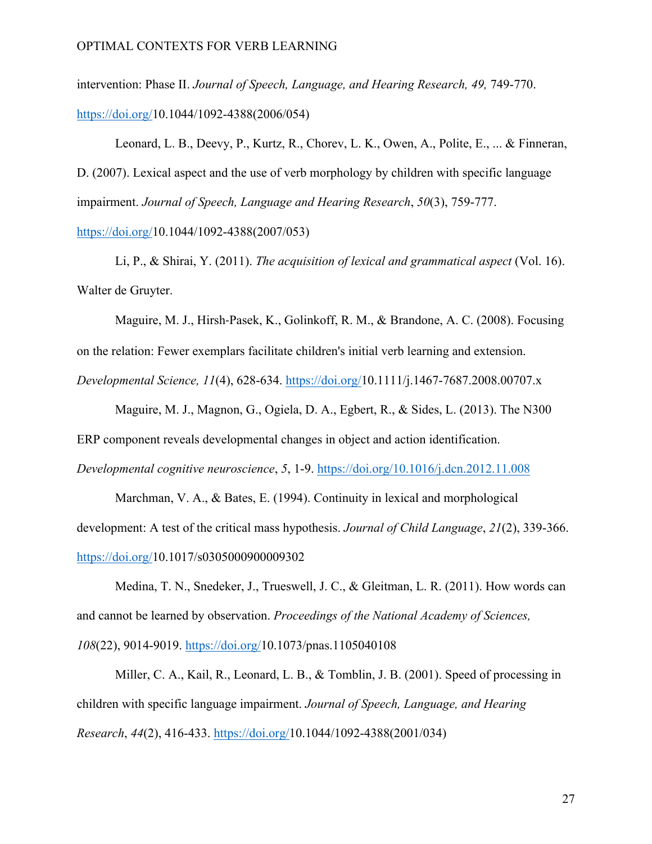intervention: Phase II. *Journal of Speech, Language, and Hearing Research, 49,* 749-770. https://doi.org/10.1044/1092-4388(2006/054)

Leonard, L. B., Deevy, P., Kurtz, R., Chorev, L. K., Owen, A., Polite, E., ... & Finneran, D. (2007). Lexical aspect and the use of verb morphology by children with specific language impairment. *Journal of Speech, Language and Hearing Research*, *50*(3), 759-777.

https://doi.org/10.1044/1092-4388(2007/053)

Li, P., & Shirai, Y. (2011). *The acquisition of lexical and grammatical aspect* (Vol. 16). Walter de Gruyter.

Maguire, M. J., Hirsh-Pasek, K., Golinkoff, R. M., & Brandone, A. C. (2008). Focusing on the relation: Fewer exemplars facilitate children's initial verb learning and extension. *Developmental Science, 11*(4), 628-634. https://doi.org/10.1111/j.1467-7687.2008.00707.x

Maguire, M. J., Magnon, G., Ogiela, D. A., Egbert, R., & Sides, L. (2013). The N300 ERP component reveals developmental changes in object and action identification.

*Developmental cognitive neuroscience*, *5*, 1-9. https://doi.org/10.1016/j.dcn.2012.11.008

Marchman, V. A., & Bates, E. (1994). Continuity in lexical and morphological development: A test of the critical mass hypothesis. *Journal of Child Language*, *21*(2), 339-366. https://doi.org/10.1017/s0305000900009302

Medina, T. N., Snedeker, J., Trueswell, J. C., & Gleitman, L. R. (2011). How words can and cannot be learned by observation. *Proceedings of the National Academy of Sciences, 108*(22), 9014-9019. https://doi.org/10.1073/pnas.1105040108

Miller, C. A., Kail, R., Leonard, L. B., & Tomblin, J. B. (2001). Speed of processing in children with specific language impairment. *Journal of Speech, Language, and Hearing Research*, *44*(2), 416-433. https://doi.org/10.1044/1092-4388(2001/034)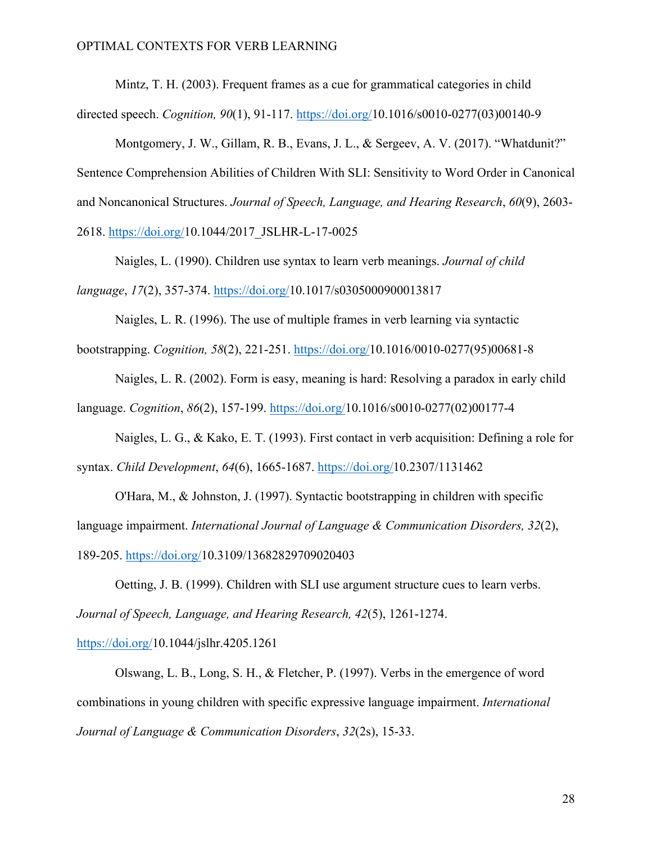Mintz, T. H. (2003). Frequent frames as a cue for grammatical categories in child

directed speech. *Cognition, 90*(1), 91-117. https://doi.org/10.1016/s0010-0277(03)00140-9

Montgomery, J. W., Gillam, R. B., Evans, J. L., & Sergeev, A. V. (2017). "Whatdunit?" Sentence Comprehension Abilities of Children With SLI: Sensitivity to Word Order in Canonical and Noncanonical Structures. *Journal of Speech, Language, and Hearing Research*, *60*(9), 2603- 2618. https://doi.org/10.1044/2017\_JSLHR-L-17-0025

Naigles, L. (1990). Children use syntax to learn verb meanings. *Journal of child language*, *17*(2), 357-374. https://doi.org/10.1017/s0305000900013817

Naigles, L. R. (1996). The use of multiple frames in verb learning via syntactic bootstrapping. *Cognition, 58*(2), 221-251. https://doi.org/10.1016/0010-0277(95)00681-8

Naigles, L. R. (2002). Form is easy, meaning is hard: Resolving a paradox in early child language. *Cognition*, *86*(2), 157-199. https://doi.org/10.1016/s0010-0277(02)00177-4

Naigles, L. G., & Kako, E. T. (1993). First contact in verb acquisition: Defining a role for syntax. *Child Development*, *64*(6), 1665-1687. https://doi.org/10.2307/1131462

O'Hara, M., & Johnston, J. (1997). Syntactic bootstrapping in children with specific language impairment. *International Journal of Language & Communication Disorders, 32*(2), 189-205. https://doi.org/10.3109/13682829709020403

Oetting, J. B. (1999). Children with SLI use argument structure cues to learn verbs. *Journal of Speech, Language, and Hearing Research, 42*(5), 1261-1274.

https://doi.org/10.1044/jslhr.4205.1261

Olswang, L. B., Long, S. H., & Fletcher, P. (1997). Verbs in the emergence of word combinations in young children with specific expressive language impairment. *International Journal of Language & Communication Disorders*, *32*(2s), 15-33.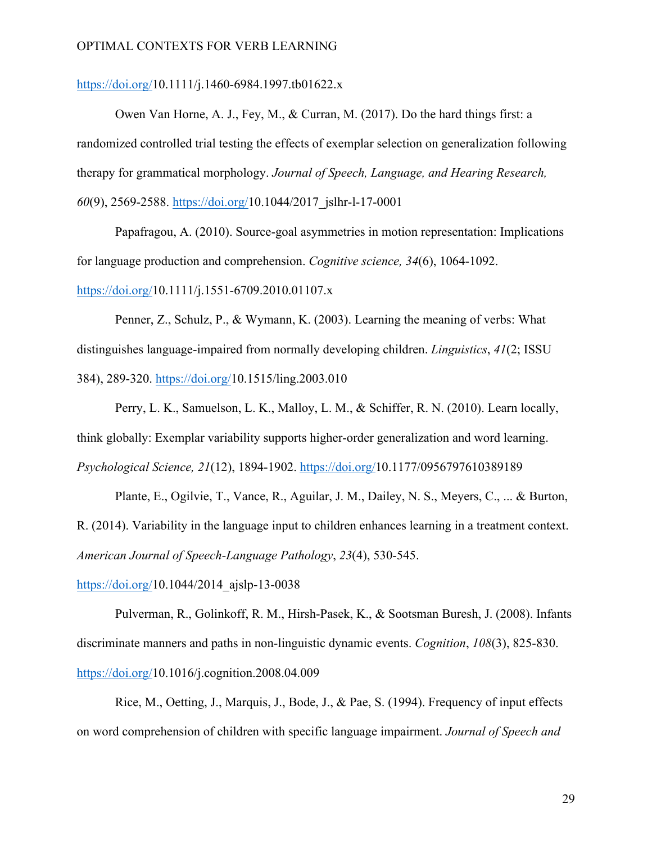# https://doi.org/10.1111/j.1460-6984.1997.tb01622.x

Owen Van Horne, A. J., Fey, M., & Curran, M. (2017). Do the hard things first: a randomized controlled trial testing the effects of exemplar selection on generalization following therapy for grammatical morphology. *Journal of Speech, Language, and Hearing Research, 60*(9), 2569-2588. https://doi.org/10.1044/2017\_jslhr-l-17-0001

Papafragou, A. (2010). Source-goal asymmetries in motion representation: Implications for language production and comprehension. *Cognitive science, 34*(6), 1064-1092.

https://doi.org/10.1111/j.1551-6709.2010.01107.x

Penner, Z., Schulz, P., & Wymann, K. (2003). Learning the meaning of verbs: What distinguishes language-impaired from normally developing children. *Linguistics*, *41*(2; ISSU 384), 289-320. https://doi.org/10.1515/ling.2003.010

Perry, L. K., Samuelson, L. K., Malloy, L. M., & Schiffer, R. N. (2010). Learn locally, think globally: Exemplar variability supports higher-order generalization and word learning. *Psychological Science, 21*(12), 1894-1902. https://doi.org/10.1177/0956797610389189

Plante, E., Ogilvie, T., Vance, R., Aguilar, J. M., Dailey, N. S., Meyers, C., ... & Burton, R. (2014). Variability in the language input to children enhances learning in a treatment context. *American Journal of Speech-Language Pathology*, *23*(4), 530-545.

https://doi.org/10.1044/2014\_ajslp-13-0038

Pulverman, R., Golinkoff, R. M., Hirsh-Pasek, K., & Sootsman Buresh, J. (2008). Infants discriminate manners and paths in non-linguistic dynamic events. *Cognition*, *108*(3), 825-830. https://doi.org/10.1016/j.cognition.2008.04.009

Rice, M., Oetting, J., Marquis, J., Bode, J., & Pae, S. (1994). Frequency of input effects on word comprehension of children with specific language impairment. *Journal of Speech and*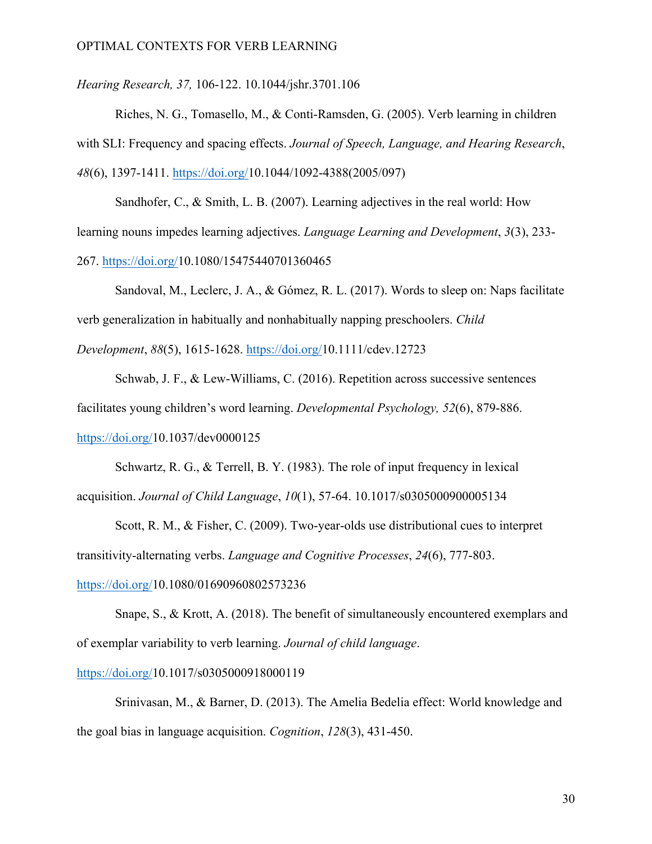*Hearing Research, 37,* 106-122. 10.1044/jshr.3701.106

Riches, N. G., Tomasello, M., & Conti-Ramsden, G. (2005). Verb learning in children with SLI: Frequency and spacing effects. *Journal of Speech, Language, and Hearing Research*, *48*(6), 1397-1411. https://doi.org/10.1044/1092-4388(2005/097)

Sandhofer, C., & Smith, L. B. (2007). Learning adjectives in the real world: How learning nouns impedes learning adjectives. *Language Learning and Development*, *3*(3), 233- 267. https://doi.org/10.1080/15475440701360465

Sandoval, M., Leclerc, J. A., & Gómez, R. L. (2017). Words to sleep on: Naps facilitate verb generalization in habitually and nonhabitually napping preschoolers. *Child Development*, *88*(5), 1615-1628. https://doi.org/10.1111/cdev.12723

Schwab, J. F., & Lew-Williams, C. (2016). Repetition across successive sentences facilitates young children's word learning. *Developmental Psychology, 52*(6), 879-886. https://doi.org/10.1037/dev0000125

Schwartz, R. G., & Terrell, B. Y. (1983). The role of input frequency in lexical acquisition. *Journal of Child Language*, *10*(1), 57-64. 10.1017/s0305000900005134

Scott, R. M., & Fisher, C. (2009). Two-year-olds use distributional cues to interpret transitivity-alternating verbs. *Language and Cognitive Processes*, *24*(6), 777-803.

# https://doi.org/10.1080/01690960802573236

Snape, S., & Krott, A. (2018). The benefit of simultaneously encountered exemplars and of exemplar variability to verb learning. *Journal of child language*.

#### https://doi.org/10.1017/s0305000918000119

Srinivasan, M., & Barner, D. (2013). The Amelia Bedelia effect: World knowledge and the goal bias in language acquisition. *Cognition*, *128*(3), 431-450.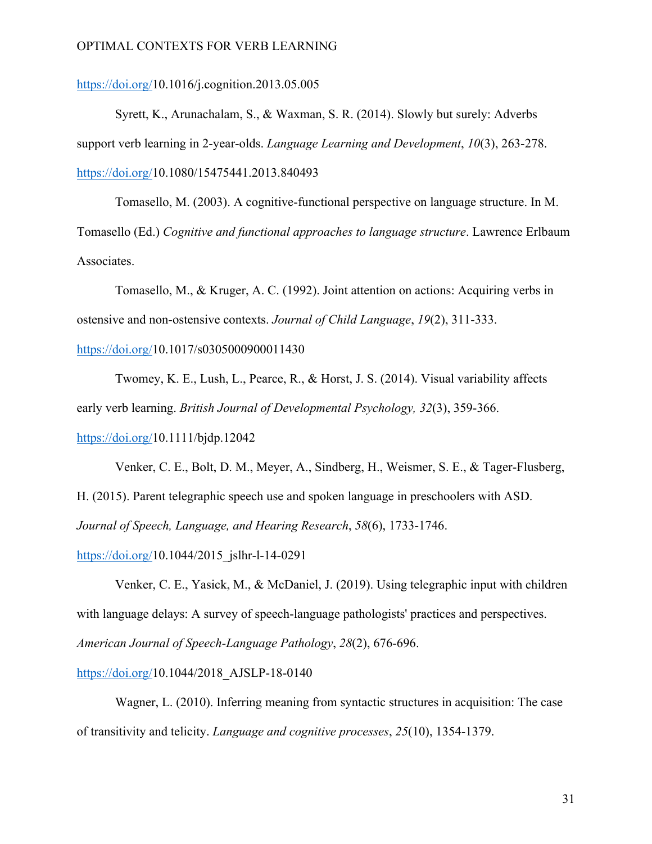https://doi.org/10.1016/j.cognition.2013.05.005

Syrett, K., Arunachalam, S., & Waxman, S. R. (2014). Slowly but surely: Adverbs support verb learning in 2-year-olds. *Language Learning and Development*, *10*(3), 263-278. https://doi.org/10.1080/15475441.2013.840493

Tomasello, M. (2003). A cognitive-functional perspective on language structure. In M. Tomasello (Ed.) *Cognitive and functional approaches to language structure*. Lawrence Erlbaum Associates.

Tomasello, M., & Kruger, A. C. (1992). Joint attention on actions: Acquiring verbs in ostensive and non-ostensive contexts. *Journal of Child Language*, *19*(2), 311-333.

## https://doi.org/10.1017/s0305000900011430

Twomey, K. E., Lush, L., Pearce, R., & Horst, J. S. (2014). Visual variability affects early verb learning. *British Journal of Developmental Psychology, 32*(3), 359-366.

https://doi.org/10.1111/bjdp.12042

Venker, C. E., Bolt, D. M., Meyer, A., Sindberg, H., Weismer, S. E., & Tager-Flusberg, H. (2015). Parent telegraphic speech use and spoken language in preschoolers with ASD. *Journal of Speech, Language, and Hearing Research*, *58*(6), 1733-1746.

https://doi.org/10.1044/2015\_jslhr-l-14-0291

Venker, C. E., Yasick, M., & McDaniel, J. (2019). Using telegraphic input with children with language delays: A survey of speech-language pathologists' practices and perspectives. *American Journal of Speech-Language Pathology*, *28*(2), 676-696.

https://doi.org/10.1044/2018\_AJSLP-18-0140

Wagner, L. (2010). Inferring meaning from syntactic structures in acquisition: The case of transitivity and telicity. *Language and cognitive processes*, *25*(10), 1354-1379.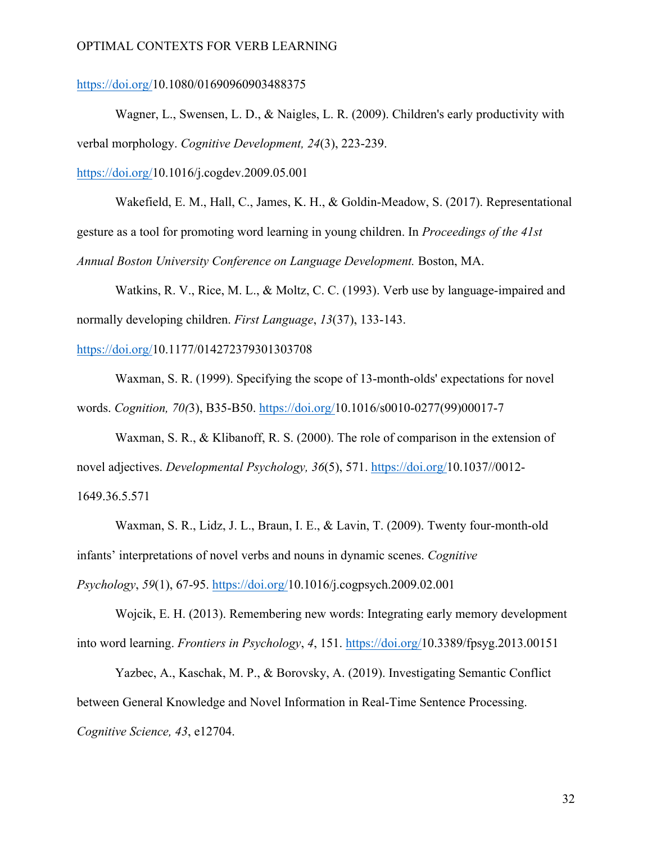# https://doi.org/10.1080/01690960903488375

Wagner, L., Swensen, L. D., & Naigles, L. R. (2009). Children's early productivity with verbal morphology. *Cognitive Development, 24*(3), 223-239.

https://doi.org/10.1016/j.cogdev.2009.05.001

Wakefield, E. M., Hall, C., James, K. H., & Goldin-Meadow, S. (2017). Representational gesture as a tool for promoting word learning in young children. In *Proceedings of the 41st Annual Boston University Conference on Language Development.* Boston, MA.

Watkins, R. V., Rice, M. L., & Moltz, C. C. (1993). Verb use by language-impaired and normally developing children. *First Language*, *13*(37), 133-143.

## https://doi.org/10.1177/014272379301303708

Waxman, S. R. (1999). Specifying the scope of 13-month-olds' expectations for novel words. *Cognition, 70(*3), B35-B50. https://doi.org/10.1016/s0010-0277(99)00017-7

Waxman, S. R., & Klibanoff, R. S. (2000). The role of comparison in the extension of novel adjectives. *Developmental Psychology, 36*(5), 571. https://doi.org/10.1037//0012- 1649.36.5.571

Waxman, S. R., Lidz, J. L., Braun, I. E., & Lavin, T. (2009). Twenty four-month-old infants' interpretations of novel verbs and nouns in dynamic scenes. *Cognitive Psychology*, *59*(1), 67-95. https://doi.org/10.1016/j.cogpsych.2009.02.001

Wojcik, E. H. (2013). Remembering new words: Integrating early memory development into word learning. *Frontiers in Psychology*, *4*, 151. https://doi.org/10.3389/fpsyg.2013.00151

Yazbec, A., Kaschak, M. P., & Borovsky, A. (2019). Investigating Semantic Conflict between General Knowledge and Novel Information in Real-Time Sentence Processing. *Cognitive Science, 43*, e12704.